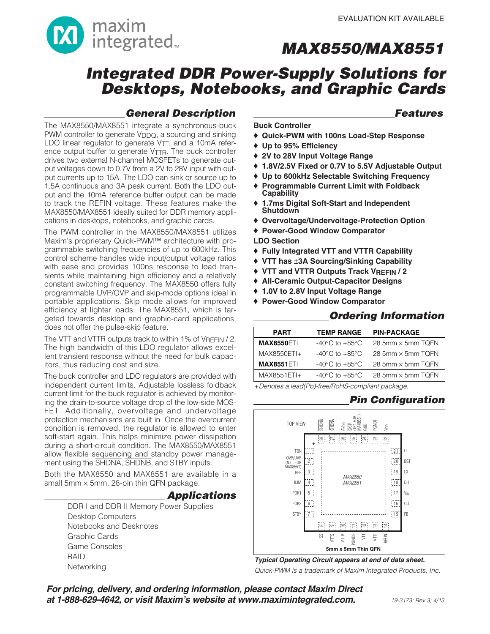

# **Integrated DDR Power-Supply Solutions for Desktops, Notebooks, and Graphic Cards**

## **General Description**

### **Features**

The MAX8550/MAX8551 integrate a synchronous-buck PWM controller to generate V<sub>DDQ</sub>, a sourcing and sinking LDO linear regulator to generate VTT, and a 10mA reference output buffer to generate V<sub>TTR</sub>. The buck controller drives two external N-channel MOSFETs to generate output voltages down to 0.7V from a 2V to 28V input with output currents up to 15A. The LDO can sink or source up to 1.5A continuous and 3A peak current. Both the LDO output and the 10mA reference buffer output can be made to track the REFIN voltage. These features make the MAX8550/MAX8551 ideally suited for DDR memory applications in desktops, notebooks, and graphic cards.

The PWM controller in the MAX8550/MAX8551 utilizes Maxim's proprietary Quick-PWM™ architecture with programmable switching frequencies of up to 600kHz. This control scheme handles wide input/output voltage ratios with ease and provides 100ns response to load transients while maintaining high efficiency and a relatively constant switching frequency. The MAX8550 offers fully programmable UVP/OVP and skip-mode options ideal in portable applications. Skip mode allows for improved efficiency at lighter loads. The MAX8551, which is targeted towards desktop and graphic-card applications, does not offer the pulse-skip feature.

The VTT and VTTR outputs track to within 1% of VREFIN / 2. The high bandwidth of this LDO regulator allows excellent transient response without the need for bulk capacitors, thus reducing cost and size.

The buck controller and LDO regulators are provided with independent current limits. Adjustable lossless foldback current limit for the buck regulator is achieved by monitoring the drain-to-source voltage drop of the low-side MOS-FET. Additionally, overvoltage and undervoltage protection mechanisms are built in. Once the overcurrent condition is removed, the regulator is allowed to enter soft-start again. This helps minimize power dissipation during a short-circuit condition. The MAX8550/MAX8551 allow flexible sequencing and standby power management using the SHDNA, SHDNB, and STBY inputs.

Both the MAX8550 and MAX8551 are available in a small 5mm  $\times$  5mm, 28-pin thin QFN package.

### **Applications**

DDR I and DDR II Memory Power Supplies Desktop Computers Notebooks and Desknotes Graphic Cards Game Consoles RAID Networking

**Buck Controller**

- ♦ **Quick-PWM with 100ns Load-Step Response**
- ♦ **Up to 95% Efficiency**
- ♦ **2V to 28V Input Voltage Range**
- ♦ **1.8V/2.5V Fixed or 0.7V to 5.5V Adjustable Output**
- ♦ **Up to 600kHz Selectable Switching Frequency**
- ♦ **Programmable Current Limit with Foldback Capability**
- ♦ **1.7ms Digital Soft-Start and Independent Shutdown**
- ♦ **Overvoltage/Undervoltage-Protection Option**
- ♦ **Power-Good Window Comparator**
- **LDO Section**
- ♦ **Fully Integrated VTT and VTTR Capability**
- ♦ **VTT has** ±**3A Sourcing/Sinking Capability**
- ♦ **VTT and VTTR Outputs Track VREFIN / 2**
- ♦ **All-Ceramic Output-Capacitor Designs**
- ♦ **1.0V to 2.8V Input Voltage Range**
- ♦ **Power-Good Window Comparator**

### **Ordering Information**

| <b>PART</b>       | <b>TEMP RANGE</b>                  | <b>PIN-PACKAGE</b>       |
|-------------------|------------------------------------|--------------------------|
| <b>MAX8550ETI</b> | $-40^{\circ}$ C to $+85^{\circ}$ C | 28 5mm × 5mm TQFN        |
| MAX8550ETI+       | $-40^{\circ}$ C to $+85^{\circ}$ C | 28 5mm $\times$ 5mm TQFN |
| <b>MAX8551ETI</b> | $-40^{\circ}$ C to $+85^{\circ}$ C | 28 5mm $\times$ 5mm TQFN |
| MAX8551ETI+       | $-40^{\circ}$ C to $+85^{\circ}$ C | 28 5mm $\times$ 5mm TQFN |
|                   |                                    |                          |

+Denotes a lead(Pb)-free/RoHS-compliant package.

## **Pin Configuration**



**Typical Operating Circuit appears at end of data sheet.** Quick-PWM is a trademark of Maxim Integrated Products, Inc.

**For pricing, delivery, and ordering information, please contact Maxim Direct at 1-888-629-4642, or visit Maxim's website at www.maximintegrated.com.**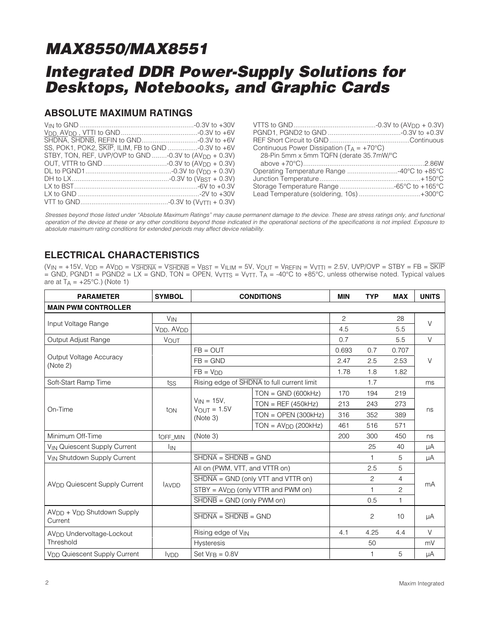# **Integrated DDR Power-Supply Solutions for Desktops, Notebooks, and Graphic Cards**

### **ABSOLUTE MAXIMUM RATINGS**

| SS, POK1, POK2, SKIP, ILIM, FB to GND -0.3V to +6V                |  |
|-------------------------------------------------------------------|--|
| STBY, TON, REF, UVP/OVP to GND -0.3V to (AV <sub>DD</sub> + 0.3V) |  |
|                                                                   |  |
|                                                                   |  |
|                                                                   |  |
|                                                                   |  |
|                                                                   |  |
|                                                                   |  |
|                                                                   |  |

| Continuous Power Dissipation ( $T_A = +70^{\circ}C$ ) |  |
|-------------------------------------------------------|--|
| 28-Pin 5mm x 5mm TQFN (derate 35.7mW/°C               |  |
|                                                       |  |
| Operating Temperature Range 40°C to +85°C             |  |
|                                                       |  |
| Storage Temperature Range -65°C to +165°C             |  |
| Lead Temperature (soldering, 10s)  +300°C             |  |

Stresses beyond those listed under "Absolute Maximum Ratings" may cause permanent damage to the device. These are stress ratings only, and functional operation of the device at these or any other conditions beyond those indicated in the operational sections of the specifications is not implied. Exposure to absolute maximum rating conditions for extended periods may affect device reliability.

## **ELECTRICAL CHARACTERISTICS**

(VIN = +15V, VDD = AVDD = VSHDNA = VSHDNB = VBST = VILIM = 5V, VOUT = VREFIN = VVTTI = 2.5V, UVP/OVP = STBY = FB = SKIP = GND, PGND1 = PGND2 = LX = GND, TON = OPEN, VVTTS = VVTT, TA = -40°C to +85°C, unless otherwise noted. Typical values are at  $T_A = +25$ °C.) (Note 1)

| <b>PARAMETER</b>                                              | <b>SYMBOL</b>                      | <b>CONDITIONS</b>                                                |                                            | <b>MIN</b>     | <b>TYP</b>     | <b>MAX</b> | <b>UNITS</b> |  |
|---------------------------------------------------------------|------------------------------------|------------------------------------------------------------------|--------------------------------------------|----------------|----------------|------------|--------------|--|
| <b>MAIN PWM CONTROLLER</b>                                    |                                    |                                                                  |                                            |                |                |            |              |  |
| Input Voltage Range                                           | <b>V<sub>IN</sub></b>              |                                                                  |                                            | $\overline{c}$ |                | 28         | $\vee$       |  |
|                                                               | V <sub>DD</sub> , AV <sub>DD</sub> |                                                                  |                                            | 4.5            |                | 5.5        |              |  |
| Output Adjust Range                                           | <b>VOUT</b>                        |                                                                  |                                            | 0.7            |                | 5.5        | $\vee$       |  |
|                                                               |                                    | $FB = OUT$                                                       |                                            | 0.693          | 0.7            | 0.707      |              |  |
| Output Voltage Accuracy<br>(Note 2)                           |                                    | $FB = GND$                                                       |                                            | 2.47           | 2.5            | 2.53       | $\vee$       |  |
|                                                               |                                    | $FB = VDD$                                                       |                                            | 1.78           | 1.8            | 1.82       |              |  |
| Soft-Start Ramp Time                                          | tss                                |                                                                  | Rising edge of SHDNA to full current limit |                | 1.7            |            | ms           |  |
| On-Time                                                       |                                    |                                                                  | $TON = GND (600kHz)$                       | 170            | 194            | 219        |              |  |
|                                                               | ton                                | $V_{IN} = 15V$ ,<br>$V_{OUT} = 1.5V$<br>(Note 3)                 | $TON = REF (450kHz)$                       | 213            | 243            | 273        | ns           |  |
|                                                               |                                    |                                                                  | $TON = OPEN (300kHz)$                      | 316            | 352            | 389        |              |  |
|                                                               |                                    |                                                                  | $TON = AVDD (200kHz)$                      | 461            | 516            | 571        |              |  |
| Minimum Off-Time                                              | toff MIN                           | (Note 3)                                                         |                                            |                | 300            | 450        | ns           |  |
| V <sub>IN</sub> Quiescent Supply Current                      | <b>I</b> IN                        |                                                                  |                                            |                | 25             | 40         | μA           |  |
| V <sub>IN</sub> Shutdown Supply Current                       |                                    | $\overline{\text{SHDNA}} = \overline{\text{SHDNB}} = \text{GND}$ |                                            |                | 1              | 5          | μA           |  |
|                                                               |                                    | All on (PWM, VTT, and VTTR on)                                   |                                            |                | 2.5            | 5          | mA           |  |
|                                                               |                                    | $\overline{\text{SHDNA}}$ = GND (only VTT and VTTR on)           |                                            |                | 2              | 4          |              |  |
| AV <sub>DD</sub> Quiescent Supply Current                     | <b>AVDD</b>                        | STBY = AV <sub>DD</sub> (only VTTR and PWM on)                   |                                            |                | 1              | 2          |              |  |
|                                                               |                                    | $\overline{\text{SHDNB}}$ = GND (only PWM on)                    |                                            |                | 0.5            | 1          |              |  |
| AV <sub>DD</sub> + V <sub>DD</sub> Shutdown Supply<br>Current |                                    | $\overline{\text{SHDNA}} = \overline{\text{SHDNB}} = \text{GND}$ |                                            |                | $\overline{c}$ | 10         | μA           |  |
| AV <sub>DD</sub> Undervoltage-Lockout                         |                                    | Rising edge of VIN                                               |                                            | 4.1            | 4.25           | 4.4        | $\vee$       |  |
| Threshold                                                     | Hysteresis                         |                                                                  |                                            | 50             |                | mV         |              |  |
| V <sub>DD</sub> Quiescent Supply Current                      | <b>IVDD</b>                        | Set $VFB = 0.8V$                                                 |                                            |                | 1              | 5          | $\mu A$      |  |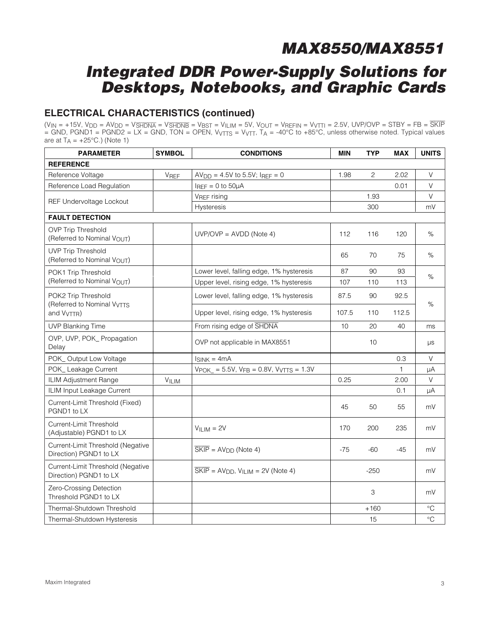# **Integrated DDR Power-Supply Solutions for Desktops, Notebooks, and Graphic Cards**

## **ELECTRICAL CHARACTERISTICS (continued)**

(VIN = +15V, VDD = AVDD = VSHDNA = VSHDNB = VBST = VILIM = 5V, VOUT = VREFIN = VVTTI = 2.5V, UVP/OVP = STBY = FB = SKIP = GND, PGND1 = PGND2 = LX = GND, TON = OPEN, VVTTS = VVTT, TA = -40°C to +85°C, unless otherwise noted. Typical values are at  $T_A = +25$ °C.) (Note 1)

| <b>PARAMETER</b>                                              | <b>SYMBOL</b> | <b>CONDITIONS</b>                                                             | <b>MIN</b> | <b>TYP</b>     | <b>MAX</b> | <b>UNITS</b>    |
|---------------------------------------------------------------|---------------|-------------------------------------------------------------------------------|------------|----------------|------------|-----------------|
| <b>REFERENCE</b>                                              |               |                                                                               |            |                |            |                 |
| Reference Voltage                                             | <b>VREF</b>   | $AVDD = 4.5V$ to 5.5V; IREF = 0                                               | 1.98       | $\overline{c}$ | 2.02       | V               |
| Reference Load Regulation                                     |               | $I_{REF} = 0$ to $50\mu A$                                                    |            |                | 0.01       | V               |
|                                                               |               | VREF rising                                                                   |            | 1.93           |            | V               |
| REF Undervoltage Lockout                                      |               | Hysteresis                                                                    |            | 300            |            | mV              |
| <b>FAULT DETECTION</b>                                        |               |                                                                               |            |                |            |                 |
| <b>OVP Trip Threshold</b><br>(Referred to Nominal VOUT)       |               | $UVP/OVP = AVDD (Note 4)$                                                     | 112        | 116            | 120        | %               |
| <b>UVP Trip Threshold</b><br>(Referred to Nominal VOUT)       |               |                                                                               | 65         | 70             | 75         | %               |
| POK1 Trip Threshold                                           |               | Lower level, falling edge, 1% hysteresis                                      | 87         | 90             | 93         |                 |
| (Referred to Nominal VOUT)                                    |               | Upper level, rising edge, 1% hysteresis                                       | 107        | 110            | 113        | %               |
| POK2 Trip Threshold<br>(Referred to Nominal V <sub>VTTS</sub> |               | Lower level, falling edge, 1% hysteresis                                      | 87.5       | 90             | 92.5       | $\%$            |
| and V <sub>VTTR</sub> )                                       |               | Upper level, rising edge, 1% hysteresis                                       | 107.5      | 110            | 112.5      |                 |
| <b>UVP Blanking Time</b>                                      |               | From rising edge of SHDNA                                                     | 10         | 20             | 40         | ms              |
| OVP, UVP, POK_Propagation<br>Delay                            |               | OVP not applicable in MAX8551                                                 |            | 10             |            | μs              |
| POK_Output Low Voltage                                        |               | $ISINK = 4mA$                                                                 |            |                | 0.3        | V               |
| POK_ Leakage Current                                          |               | $VPOK = 5.5V$ , $VFB = 0.8V$ , $VVTTS = 1.3V$                                 |            |                | 1          | μA              |
| ILIM Adjustment Range                                         | VILIM         |                                                                               | 0.25       |                | 2.00       | V               |
| ILIM Input Leakage Current                                    |               |                                                                               |            |                | 0.1        | μA              |
| Current-Limit Threshold (Fixed)<br>PGND1 to LX                |               |                                                                               | 45         | 50             | 55         | mV              |
| Current-Limit Threshold<br>(Adjustable) PGND1 to LX           |               | $VILIM = 2V$                                                                  | 170        | 200            | 235        | mV              |
| Current-Limit Threshold (Negative<br>Direction) PGND1 to LX   |               | $\overline{\text{SKIP}}$ = AV <sub>DD</sub> (Note 4)                          | $-75$      | -60            | $-45$      | mV              |
| Current-Limit Threshold (Negative<br>Direction) PGND1 to LX   |               | $\overline{\text{SKIP}}$ = AV <sub>DD</sub> , V <sub>ILIM</sub> = 2V (Note 4) |            | $-250$         |            | mV              |
| Zero-Crossing Detection<br>Threshold PGND1 to LX              |               |                                                                               |            | 3              |            | mV              |
| Thermal-Shutdown Threshold                                    |               |                                                                               |            | $+160$         |            | °C              |
| Thermal-Shutdown Hysteresis                                   |               |                                                                               |            | 15             |            | $\rm ^{\circ}C$ |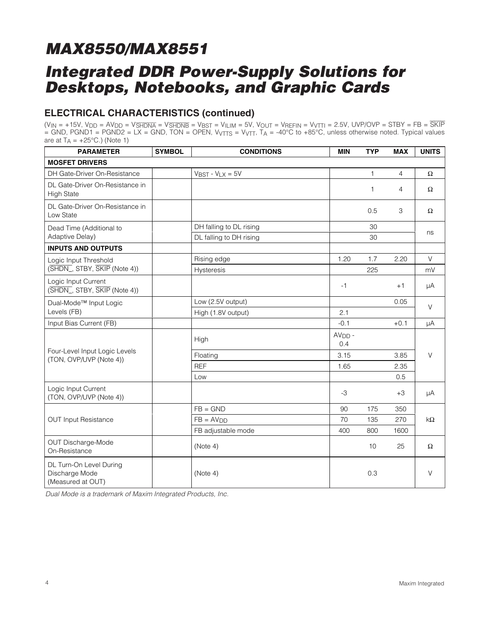# **Integrated DDR Power-Supply Solutions for Desktops, Notebooks, and Graphic Cards**

## **ELECTRICAL CHARACTERISTICS (continued)**

(VIN = +15V, VDD = AVDD = VSHDNA = VSHDNB = VBST = VILIM = 5V, VOUT = VREFIN = VVTTI = 2.5V, UVP/OVP = STBY = FB = SKIP = GND, PGND1 = PGND2 = LX = GND, TON = OPEN, VVTTS = VVTT, TA = -40°C to +85°C, unless otherwise noted. Typical values are at  $T_A = +25$ °C.) (Note 1)

| <b>PARAMETER</b>                                               | <b>SYMBOL</b> | <b>CONDITIONS</b>        | <b>MIN</b>      | <b>TYP</b> | <b>MAX</b> | <b>UNITS</b> |  |
|----------------------------------------------------------------|---------------|--------------------------|-----------------|------------|------------|--------------|--|
| <b>MOSFET DRIVERS</b>                                          |               |                          |                 |            |            |              |  |
| DH Gate-Driver On-Resistance                                   |               | $V$ BST - $V$ LX = 5 $V$ |                 | 1          | 4          | Ω            |  |
| DL Gate-Driver On-Resistance in<br><b>High State</b>           |               |                          |                 | 1          | 4          | $\Omega$     |  |
| DL Gate-Driver On-Resistance in<br>Low State                   |               |                          |                 | 0.5        | 3          | $\Omega$     |  |
| Dead Time (Additional to                                       |               | DH falling to DL rising  |                 | 30         |            |              |  |
| Adaptive Delay)                                                |               | DL falling to DH rising  |                 | 30         |            | ns           |  |
| <b>INPUTS AND OUTPUTS</b>                                      |               |                          |                 |            |            |              |  |
| Logic Input Threshold                                          |               | Rising edge              | 1.20            | 1.7        | 2.20       | $\vee$       |  |
| (SHDN_, STBY, SKIP (Note 4))                                   |               | <b>Hysteresis</b>        |                 | 225        |            | mV           |  |
| Logic Input Current<br>(SHDN_, STBY, SKIP (Note 4))            |               |                          | $-1$            |            | $+1$       | μA           |  |
| Dual-Mode <sup>™</sup> Input Logic                             |               | Low (2.5V output)        |                 |            | 0.05       | $\vee$       |  |
| Levels (FB)                                                    |               | High (1.8V output)       | 2.1             |            |            |              |  |
| Input Bias Current (FB)                                        |               |                          | $-0.1$          |            | $+0.1$     | μA           |  |
|                                                                |               | High                     | $AVDD$ -<br>0.4 |            |            |              |  |
| Four-Level Input Logic Levels<br>(TON, OVP/UVP (Note 4))       |               | Floating                 | 3.15            |            | 3.85       | $\vee$       |  |
|                                                                |               | <b>REF</b>               | 1.65            |            | 2.35       |              |  |
|                                                                |               | Low                      |                 |            | 0.5        |              |  |
| Logic Input Current<br>(TON, OVP/UVP (Note 4))                 |               |                          | -3              |            | $+3$       | μA           |  |
|                                                                |               | $FB = GND$               | 90              | 175        | 350        |              |  |
| <b>OUT Input Resistance</b>                                    |               | $FB = AVDD$              | 70              | 135        | 270        | $k\Omega$    |  |
|                                                                |               | FB adjustable mode       | 400             | 800        | 1600       |              |  |
| OUT Discharge-Mode<br>On-Resistance                            |               | (Note 4)                 |                 | 10         | 25         | $\Omega$     |  |
| DL Turn-On Level During<br>Discharge Mode<br>(Measured at OUT) |               | (Note 4)                 |                 | 0.3        |            | V            |  |

Dual Mode is a trademark of Maxim Integrated Products, Inc.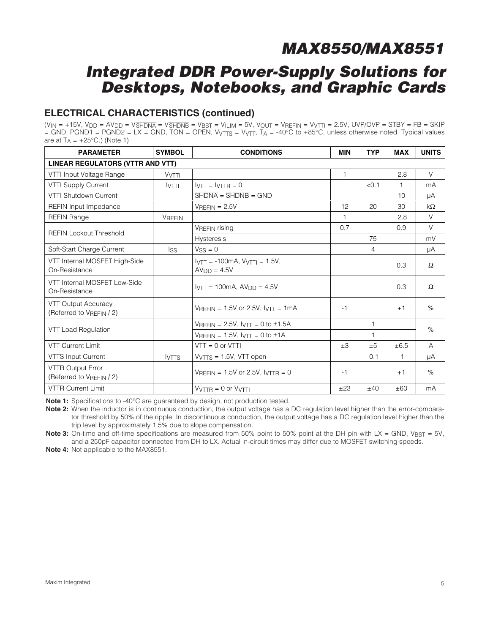# **Integrated DDR Power-Supply Solutions for Desktops, Notebooks, and Graphic Cards**

## **ELECTRICAL CHARACTERISTICS (continued)**

(VIN = +15V, VDD = AVDD = VSHDNA = VSHDNB = VBST = VILIM = 5V, VOUT = VREFIN = VVTTI = 2.5V, UVP/OVP = STBY = FB = SKIP = GND, PGND1 = PGND2 = LX = GND, TON = OPEN, VVTTS = VVTT, TA = -40°C to +85°C, unless otherwise noted. Typical values are at  $T_A = +25$ °C.) (Note 1)

| <b>PARAMETER</b>                                     | <b>SYMBOL</b><br><b>CONDITIONS</b> |                                                                             | <b>MIN</b>   | <b>TYP</b>     | <b>MAX</b>   | <b>UNITS</b> |  |  |  |
|------------------------------------------------------|------------------------------------|-----------------------------------------------------------------------------|--------------|----------------|--------------|--------------|--|--|--|
| LINEAR REGULATORS (VTTR AND VTT)                     |                                    |                                                                             |              |                |              |              |  |  |  |
| VTTI Input Voltage Range                             | <b>VVTTI</b>                       |                                                                             | $\mathbf{1}$ |                | 2.8          | $\vee$       |  |  |  |
| <b>VTTI Supply Current</b>                           | <b>IVTTI</b>                       | $IVTT = IVTTR = 0$                                                          |              | < 0.1          | $\mathbf{1}$ | mA           |  |  |  |
| VTTI Shutdown Current                                |                                    | $\overline{\text{SHDNA}} = \overline{\text{SHDNB}} = \text{GND}$            |              |                | 10           | μA           |  |  |  |
| REFIN Input Impedance                                |                                    | $V$ REFIN = 2.5V                                                            | 12           | 20             | 30           | $k\Omega$    |  |  |  |
| <b>REFIN Range</b>                                   | <b>VREFIN</b>                      |                                                                             |              |                | 2.8          | V            |  |  |  |
| <b>REFIN Lockout Threshold</b>                       |                                    | <b>VREFIN rising</b>                                                        | 0.7          |                | 0.9          | $\vee$       |  |  |  |
|                                                      |                                    | <b>Hysteresis</b>                                                           |              | 75             |              | mV           |  |  |  |
| Soft-Start Charge Current                            | <b>Iss</b>                         | $VSS = 0$                                                                   |              | $\overline{4}$ |              | μA           |  |  |  |
| VTT Internal MOSFET High-Side<br>On-Resistance       |                                    | $I_{\text{VTT}} = -100 \text{mA}, V_{\text{VTT}} = 1.5 V,$<br>$AVDD = 4.5V$ |              |                | 0.3          | $\Omega$     |  |  |  |
| VTT Internal MOSFET Low-Side<br>On-Resistance        |                                    | $IVTT = 100mA, AVDD = 4.5V$                                                 |              |                | 0.3          | $\Omega$     |  |  |  |
| VTT Output Accuracy<br>(Referred to VREFIN / 2)      |                                    | $V_{RFFIN} = 1.5V$ or 2.5V, $V_{TTT} = 1mA$                                 | $-1$         |                | $+1$         | $\%$         |  |  |  |
|                                                      |                                    | $V_{REFIN} = 2.5V$ , $V_{TIT} = 0$ to $\pm 1.5A$                            |              |                |              | %            |  |  |  |
| VTT Load Regulation                                  |                                    | $V_{REFIN} = 1.5V$ , $V_{VTT} = 0$ to $\pm 1A$                              |              |                |              |              |  |  |  |
| <b>VTT Current Limit</b>                             |                                    | $VTT = 0$ or $VTTI$                                                         | $\pm 3$      | ±5             | ±6.5         | A            |  |  |  |
| VTTS Input Current                                   | <b>IVTTS</b>                       | $VVTTS = 1.5V$ , VTT open                                                   |              | 0.1            |              | μA           |  |  |  |
| <b>VTTR Output Error</b><br>(Referred to VREFIN / 2) |                                    | $V$ REFIN = 1.5V or 2.5V, $V$ TTR = 0                                       | $-1$         |                | $+1$         | $\%$         |  |  |  |
| <b>VTTR Current Limit</b>                            |                                    | $VVTTR = 0$ or $VVTTI$                                                      | ±23          | ±40            | ±60          | mA           |  |  |  |

**Note 1:** Specifications to -40°C are guaranteed by design, not production tested.

**Note 2:** When the inductor is in continuous conduction, the output voltage has a DC regulation level higher than the error-comparator threshold by 50% of the ripple. In discontinuous conduction, the output voltage has a DC regulation level higher than the trip level by approximately 1.5% due to slope compensation.

**Note 3:** On-time and off-time specifications are measured from 50% point to 50% point at the DH pin with LX = GND, VBST = 5V, and a 250pF capacitor connected from DH to LX. Actual in-circuit times may differ due to MOSFET switching speeds.

**Note 4:** Not applicable to the MAX8551.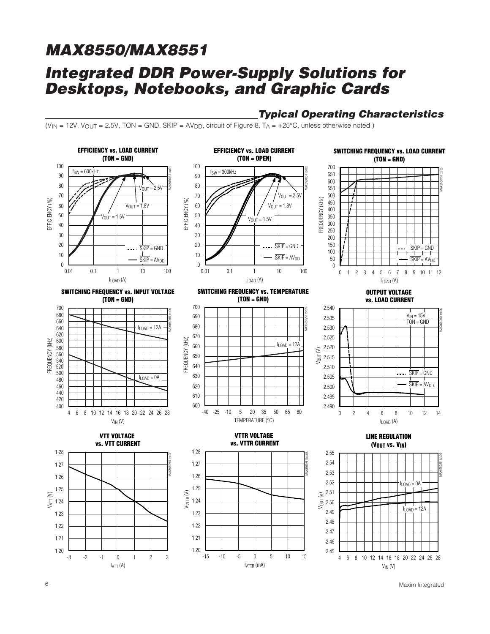# **MAX8550/MAX8551 Integrated DDR Power-Supply Solutions for Desktops, Notebooks, and Graphic Cards**

### **Typical Operating Characteristics**

(V<sub>IN</sub> = 12V, V<sub>OUT</sub> = 2.5V, TON = GND,  $\overline{\text{SKIP}}$  = AV<sub>DD</sub>, circuit of Figure 8, T<sub>A</sub> = +25°C, unless otherwise noted.)



6 Maxim Integrated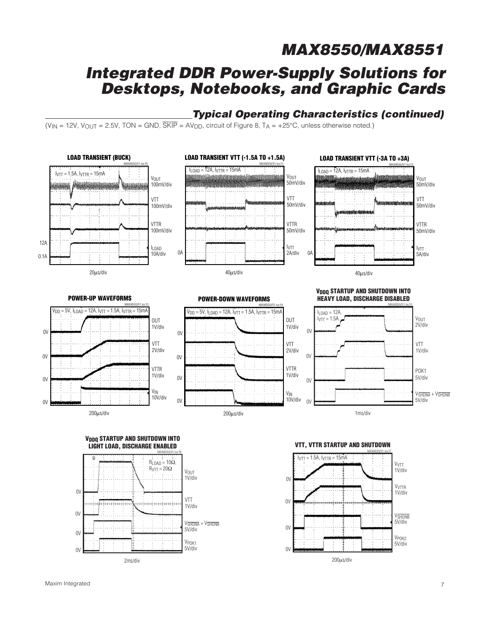## **Integrated DDR Power-Supply Solutions for Desktops, Notebooks, and Graphic Cards**

## **Typical Operating Characteristics (continued)**

(V<sub>IN</sub> = 12V, V<sub>OUT</sub> = 2.5V, TON = GND,  $\overline{\text{SKIP}}$  = AV<sub>DD</sub>, circuit of Figure 8, T<sub>A</sub> = +25°C, unless otherwise noted.)

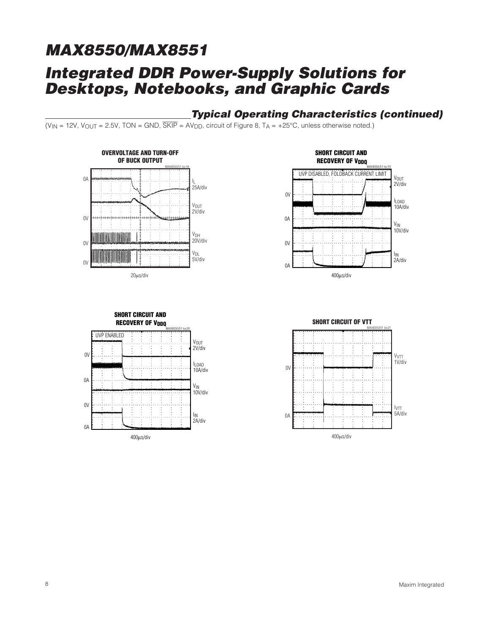# **MAX8550/MAX8551 Integrated DDR Power-Supply Solutions for Desktops, Notebooks, and Graphic Cards**

## **Typical Operating Characteristics (continued)**

(V<sub>IN</sub> = 12V, V<sub>OUT</sub> = 2.5V, TON = GND,  $\overline{SKIP}$  = AV<sub>DD</sub>, circuit of Figure 8, T<sub>A</sub> = +25°C, unless otherwise noted.)







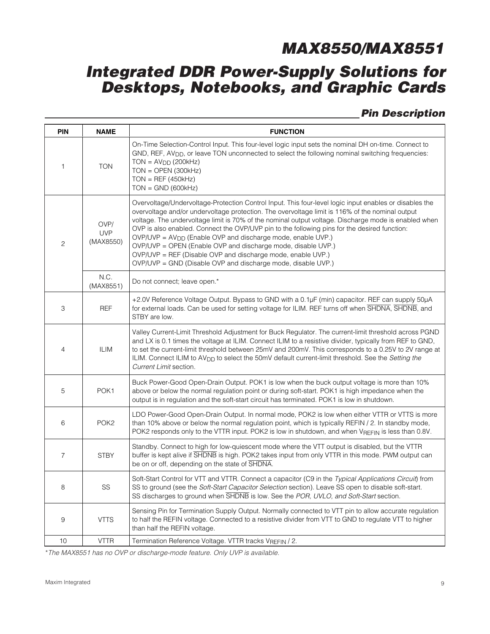# **Integrated DDR Power-Supply Solutions for Desktops, Notebooks, and Graphic Cards**

## **Pin Description**

| <b>PIN</b>                                      | <b>NAME</b>       | <b>FUNCTION</b>                                                                                                                                                                                                                                                                                                                                                                                                                                                                                                                                                                                                                                                                             |
|-------------------------------------------------|-------------------|---------------------------------------------------------------------------------------------------------------------------------------------------------------------------------------------------------------------------------------------------------------------------------------------------------------------------------------------------------------------------------------------------------------------------------------------------------------------------------------------------------------------------------------------------------------------------------------------------------------------------------------------------------------------------------------------|
| 1                                               | <b>TON</b>        | On-Time Selection-Control Input. This four-level logic input sets the nominal DH on-time. Connect to<br>GND, REF, AV <sub>DD</sub> , or leave TON unconnected to select the following nominal switching frequencies:<br>$TON = AVDD (200kHz)$<br>$TON = OPEN (300kHz)$<br>$TON = REF (450kHz)$<br>$TON = GND (600kHz)$                                                                                                                                                                                                                                                                                                                                                                      |
| OVP/<br><b>UVP</b><br>(MAX8550)<br>$\mathbf{2}$ |                   | Overvoltage/Undervoltage-Protection Control Input. This four-level logic input enables or disables the<br>overvoltage and/or undervoltage protection. The overvoltage limit is 116% of the nominal output<br>voltage. The undervoltage limit is 70% of the nominal output voltage. Discharge mode is enabled when<br>OVP is also enabled. Connect the OVP/UVP pin to the following pins for the desired function:<br>OVP/UVP = AV <sub>DD</sub> (Enable OVP and discharge mode, enable UVP.)<br>OVP/UVP = OPEN (Enable OVP and discharge mode, disable UVP.)<br>OVP/UVP = REF (Disable OVP and discharge mode, enable UVP.)<br>OVP/UVP = GND (Disable OVP and discharge mode, disable UVP.) |
|                                                 | N.C.<br>(MAX8551) | Do not connect; leave open.*                                                                                                                                                                                                                                                                                                                                                                                                                                                                                                                                                                                                                                                                |
| 3                                               | <b>REF</b>        | +2.0V Reference Voltage Output. Bypass to GND with a 0.1µF (min) capacitor. REF can supply 50µA<br>for external loads. Can be used for setting voltage for ILIM. REF turns off when SHDNA, SHDNB, and<br>STBY are low.                                                                                                                                                                                                                                                                                                                                                                                                                                                                      |
| 4                                               | <b>ILIM</b>       | Valley Current-Limit Threshold Adjustment for Buck Regulator. The current-limit threshold across PGND<br>and LX is 0.1 times the voltage at ILIM. Connect ILIM to a resistive divider, typically from REF to GND,<br>to set the current-limit threshold between 25mV and 200mV. This corresponds to a 0.25V to 2V range at<br>ILIM. Connect ILIM to AV <sub>DD</sub> to select the 50mV default current-limit threshold. See the Setting the<br>Current Limit section.                                                                                                                                                                                                                      |
| 5                                               | POK1              | Buck Power-Good Open-Drain Output. POK1 is low when the buck output voltage is more than 10%<br>above or below the normal regulation point or during soft-start. POK1 is high impedance when the<br>output is in regulation and the soft-start circuit has terminated. POK1 is low in shutdown.                                                                                                                                                                                                                                                                                                                                                                                             |
| 6                                               | POK <sub>2</sub>  | LDO Power-Good Open-Drain Output. In normal mode, POK2 is low when either VTTR or VTTS is more<br>than 10% above or below the normal regulation point, which is typically REFIN / 2. In standby mode,<br>POK2 responds only to the VTTR input. POK2 is low in shutdown, and when VREFIN is less than 0.8V.                                                                                                                                                                                                                                                                                                                                                                                  |
| 7                                               | <b>STBY</b>       | Standby. Connect to high for low-quiescent mode where the VTT output is disabled, but the VTTR<br>buffer is kept alive if SHDNB is high. POK2 takes input from only VTTR in this mode. PWM output can<br>be on or off, depending on the state of SHDNA.                                                                                                                                                                                                                                                                                                                                                                                                                                     |
| 8                                               | $\text{SS}$       | Soft-Start Control for VTT and VTTR. Connect a capacitor (C9 in the Typical Applications Circuit) from<br>SS to ground (see the Soft-Start Capacitor Selection section). Leave SS open to disable soft-start.<br>SS discharges to ground when SHDNB is low. See the POR, UVLO, and Soft-Start section.                                                                                                                                                                                                                                                                                                                                                                                      |
| 9                                               | <b>VTTS</b>       | Sensing Pin for Termination Supply Output. Normally connected to VTT pin to allow accurate regulation<br>to half the REFIN voltage. Connected to a resistive divider from VTT to GND to regulate VTT to higher<br>than half the REFIN voltage.                                                                                                                                                                                                                                                                                                                                                                                                                                              |
| 10                                              | <b>VTTR</b>       | Termination Reference Voltage. VTTR tracks VREFIN / 2.                                                                                                                                                                                                                                                                                                                                                                                                                                                                                                                                                                                                                                      |

\*The MAX8551 has no OVP or discharge-mode feature. Only UVP is available.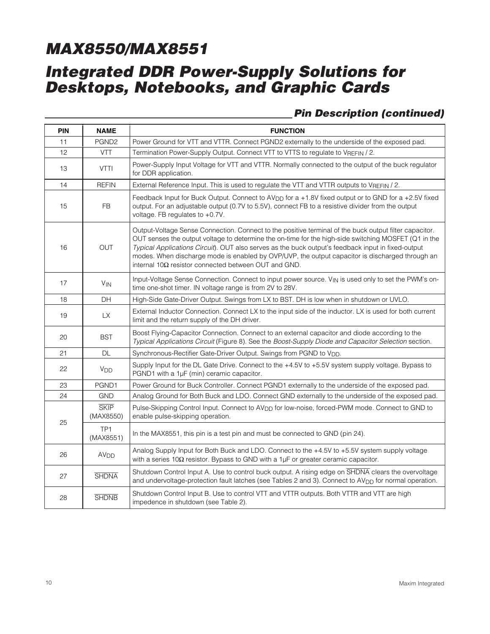# **Integrated DDR Power-Supply Solutions for Desktops, Notebooks, and Graphic Cards**

## **Pin Description (continued)**

| PIN | <b>NAME</b>                  | <b>FUNCTION</b>                                                                                                                                                                                                                                                                                                                                                                                                                                                                        |
|-----|------------------------------|----------------------------------------------------------------------------------------------------------------------------------------------------------------------------------------------------------------------------------------------------------------------------------------------------------------------------------------------------------------------------------------------------------------------------------------------------------------------------------------|
| 11  | PGND <sub>2</sub>            | Power Ground for VTT and VTTR. Connect PGND2 externally to the underside of the exposed pad.                                                                                                                                                                                                                                                                                                                                                                                           |
| 12  | <b>VTT</b>                   | Termination Power-Supply Output. Connect VTT to VTTS to regulate to VREFIN / 2.                                                                                                                                                                                                                                                                                                                                                                                                        |
| 13  | <b>VTTI</b>                  | Power-Supply Input Voltage for VTT and VTTR. Normally connected to the output of the buck regulator<br>for DDR application.                                                                                                                                                                                                                                                                                                                                                            |
| 14  | <b>REFIN</b>                 | External Reference Input. This is used to regulate the VTT and VTTR outputs to VREFIN / 2.                                                                                                                                                                                                                                                                                                                                                                                             |
| 15  | <b>FB</b>                    | Feedback Input for Buck Output. Connect to AV <sub>DD</sub> for a +1.8V fixed output or to GND for a +2.5V fixed<br>output. For an adjustable output (0.7V to 5.5V), connect FB to a resistive divider from the output<br>voltage. FB regulates to +0.7V.                                                                                                                                                                                                                              |
| 16  | <b>OUT</b>                   | Output-Voltage Sense Connection. Connect to the positive terminal of the buck output filter capacitor.<br>OUT senses the output voltage to determine the on-time for the high-side switching MOSFET (Q1 in the<br>Typical Applications Circuit). OUT also serves as the buck output's feedback input in fixed-output<br>modes. When discharge mode is enabled by OVP/UVP, the output capacitor is discharged through an<br>internal $10\Omega$ resistor connected between OUT and GND. |
| 17  | $V_{IN}$                     | Input-Voltage Sense Connection. Connect to input power source. V <sub>IN</sub> is used only to set the PWM's on-<br>time one-shot timer. IN voltage range is from 2V to 28V.                                                                                                                                                                                                                                                                                                           |
| 18  | DH                           | High-Side Gate-Driver Output. Swings from LX to BST. DH is low when in shutdown or UVLO.                                                                                                                                                                                                                                                                                                                                                                                               |
| 19  | LX.                          | External Inductor Connection. Connect LX to the input side of the inductor. LX is used for both current<br>limit and the return supply of the DH driver.                                                                                                                                                                                                                                                                                                                               |
| 20  | <b>BST</b>                   | Boost Flying-Capacitor Connection. Connect to an external capacitor and diode according to the<br>Typical Applications Circuit (Figure 8). See the Boost-Supply Diode and Capacitor Selection section.                                                                                                                                                                                                                                                                                 |
| 21  | <b>DL</b>                    | Synchronous-Rectifier Gate-Driver Output. Swings from PGND to V <sub>DD</sub> .                                                                                                                                                                                                                                                                                                                                                                                                        |
| 22  | <b>V<sub>DD</sub></b>        | Supply Input for the DL Gate Drive. Connect to the +4.5V to +5.5V system supply voltage. Bypass to<br>PGND1 with a 1µF (min) ceramic capacitor.                                                                                                                                                                                                                                                                                                                                        |
| 23  | PGND1                        | Power Ground for Buck Controller. Connect PGND1 externally to the underside of the exposed pad.                                                                                                                                                                                                                                                                                                                                                                                        |
| 24  | <b>GND</b>                   | Analog Ground for Both Buck and LDO. Connect GND externally to the underside of the exposed pad.                                                                                                                                                                                                                                                                                                                                                                                       |
|     | <b>SKIP</b><br>(MAX8550)     | Pulse-Skipping Control Input. Connect to AV <sub>DD</sub> for low-noise, forced-PWM mode. Connect to GND to<br>enable pulse-skipping operation.                                                                                                                                                                                                                                                                                                                                        |
| 25  | TP <sub>1</sub><br>(MAX8551) | In the MAX8551, this pin is a test pin and must be connected to GND (pin 24).                                                                                                                                                                                                                                                                                                                                                                                                          |
| 26  | AV <sub>DD</sub>             | Analog Supply Input for Both Buck and LDO. Connect to the +4.5V to +5.5V system supply voltage<br>with a series 10 $\Omega$ resistor. Bypass to GND with a 1µF or greater ceramic capacitor.                                                                                                                                                                                                                                                                                           |
| 27  | <b>SHDNA</b>                 | Shutdown Control Input A. Use to control buck output. A rising edge on SHDNA clears the overvoltage<br>and undervoltage-protection fault latches (see Tables 2 and 3). Connect to AV <sub>DD</sub> for normal operation.                                                                                                                                                                                                                                                               |
| 28  | <b>SHDNB</b>                 | Shutdown Control Input B. Use to control VTT and VTTR outputs. Both VTTR and VTT are high<br>impedence in shutdown (see Table 2).                                                                                                                                                                                                                                                                                                                                                      |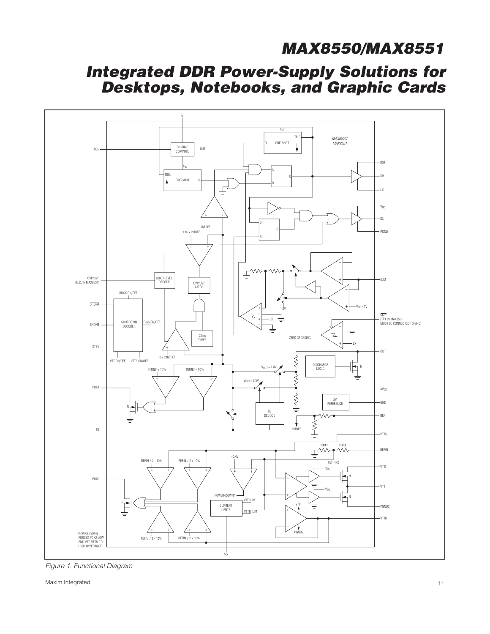# **Integrated DDR Power-Supply Solutions for Desktops, Notebooks, and Graphic Cards**



Figure 1. Functional Diagram

Maxim Integrated 11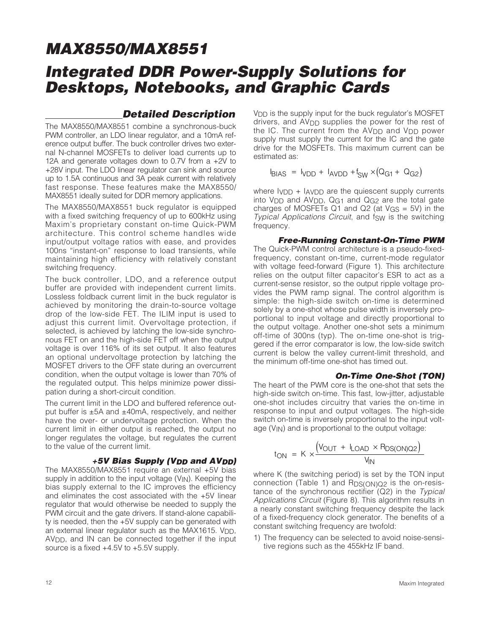## **Integrated DDR Power-Supply Solutions for Desktops, Notebooks, and Graphic Cards**

### **Detailed Description**

The MAX8550/MAX8551 combine a synchronous-buck PWM controller, an LDO linear regulator, and a 10mA reference output buffer. The buck controller drives two external N-channel MOSFETs to deliver load currents up to 12A and generate voltages down to 0.7V from a +2V to +28V input. The LDO linear regulator can sink and source up to 1.5A continuous and 3A peak current with relatively fast response. These features make the MAX8550/ MAX8551 ideally suited for DDR memory applications.

The MAX8550/MAX8551 buck regulator is equipped with a fixed switching frequency of up to 600kHz using Maxim's proprietary constant on-time Quick-PWM architecture. This control scheme handles wide input/output voltage ratios with ease, and provides 100ns "instant-on" response to load transients, while maintaining high efficiency with relatively constant switching frequency.

The buck controller, LDO, and a reference output buffer are provided with independent current limits. Lossless foldback current limit in the buck regulator is achieved by monitoring the drain-to-source voltage drop of the low-side FET. The ILIM input is used to adjust this current limit. Overvoltage protection, if selected, is achieved by latching the low-side synchronous FET on and the high-side FET off when the output voltage is over 116% of its set output. It also features an optional undervoltage protection by latching the MOSFET drivers to the OFF state during an overcurrent condition, when the output voltage is lower than 70% of the regulated output. This helps minimize power dissipation during a short-circuit condition.

The current limit in the LDO and buffered reference output buffer is  $\pm$ 5A and  $\pm$ 40mA, respectively, and neither have the over- or undervoltage protection. When the current limit in either output is reached, the output no longer regulates the voltage, but regulates the current to the value of the current limit.

#### **+5V Bias Supply (VDD and AVDD)**

The MAX8550/MAX8551 require an external +5V bias supply in addition to the input voltage  $(V_{\text{IN}})$ . Keeping the bias supply external to the IC improves the efficiency and eliminates the cost associated with the +5V linear regulator that would otherwise be needed to supply the PWM circuit and the gate drivers. If stand-alone capability is needed, then the +5V supply can be generated with an external linear regulator such as the MAX1615. VDD. AV<sub>DD</sub>, and IN can be connected together if the input source is a fixed +4.5V to +5.5V supply.

V<sub>DD</sub> is the supply input for the buck regulator's MOSFET drivers, and AVDD supplies the power for the rest of the IC. The current from the AV<sub>DD</sub> and V<sub>DD</sub> power supply must supply the current for the IC and the gate drive for the MOSFETs. This maximum current can be estimated as:

$$
I_{\text{BIAS}} = I_{\text{VDD}} + I_{\text{AVDD}} + I_{\text{SW}} \times (Q_{\text{G1}} + Q_{\text{G2}})
$$

where  $I_{\text{VDD}} + I_{\text{AVDD}}$  are the quiescent supply currents into  $V_{DD}$  and  $AV_{DD}$ ,  $Q_{G1}$  and  $Q_{G2}$  are the total gate charges of MOSFETs Q1 and Q2 (at  $V_{GS} = 5V$ ) in the Typical Applications Circuit, and fsw is the switching frequency.

#### **Free-Running Constant-On-Time PWM**

The Quick-PWM control architecture is a pseudo-fixedfrequency, constant on-time, current-mode regulator with voltage feed-forward (Figure 1). This architecture relies on the output filter capacitor's ESR to act as a current-sense resistor, so the output ripple voltage provides the PWM ramp signal. The control algorithm is simple: the high-side switch on-time is determined solely by a one-shot whose pulse width is inversely proportional to input voltage and directly proportional to the output voltage. Another one-shot sets a minimum off-time of 300ns (typ). The on-time one-shot is triggered if the error comparator is low, the low-side switch current is below the valley current-limit threshold, and the minimum off-time one-shot has timed out.

#### **On-Time One-Shot (TON)**

The heart of the PWM core is the one-shot that sets the high-side switch on-time. This fast, low-jitter, adjustable one-shot includes circuitry that varies the on-time in response to input and output voltages. The high-side switch on-time is inversely proportional to the input voltage  $(V_{\text{IN}})$  and is proportional to the output voltage:

$$
t_{ON} = K \times \frac{(V_{OUT} + I_{LOAD} \times R_{DS(ON)Q2})}{V_{IN}}
$$

where K (the switching period) is set by the TON input connection (Table 1) and RDS(ON)Q2 is the on-resistance of the synchronous rectifier  $(Q2)$  in the Typical Applications Circuit (Figure 8). This algorithm results in a nearly constant switching frequency despite the lack of a fixed-frequency clock generator. The benefits of a constant switching frequency are twofold:

1) The frequency can be selected to avoid noise-sensitive regions such as the 455kHz IF band.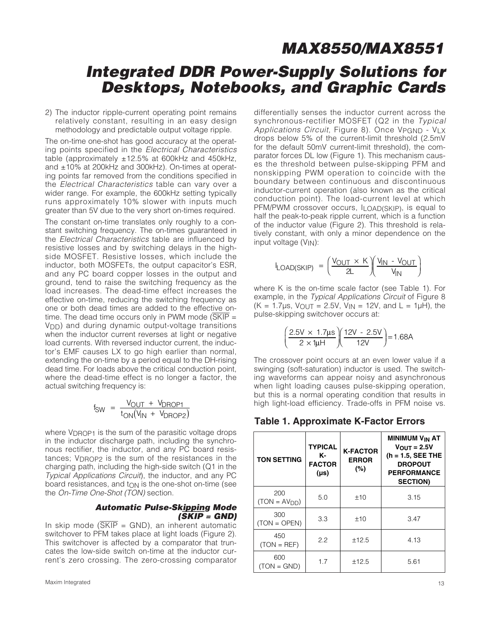## **Integrated DDR Power-Supply Solutions for Desktops, Notebooks, and Graphic Cards**

2) The inductor ripple-current operating point remains relatively constant, resulting in an easy design methodology and predictable output voltage ripple.

The on-time one-shot has good accuracy at the operating points specified in the Electrical Characteristics table (approximately ±12.5% at 600kHz and 450kHz, and ±10% at 200kHz and 300kHz). On-times at operating points far removed from the conditions specified in the Electrical Characteristics table can vary over a wider range. For example, the 600kHz setting typically runs approximately 10% slower with inputs much greater than 5V due to the very short on-times required.

The constant on-time translates only roughly to a constant switching frequency. The on-times guaranteed in the Electrical Characteristics table are influenced by resistive losses and by switching delays in the highside MOSFET. Resistive losses, which include the inductor, both MOSFETs, the output capacitor's ESR, and any PC board copper losses in the output and ground, tend to raise the switching frequency as the load increases. The dead-time effect increases the effective on-time, reducing the switching frequency as one or both dead times are added to the effective ontime. The dead time occurs only in PWM mode  $(\overline{\text{SKIP}})$  = V<sub>DD</sub>) and during dynamic output-voltage transitions when the inductor current reverses at light or negative load currents. With reversed inductor current, the inductor's EMF causes LX to go high earlier than normal, extending the on-time by a period equal to the DH-rising dead time. For loads above the critical conduction point, where the dead-time effect is no longer a factor, the actual switching frequency is:

$$
f_{SW} = \frac{V_{OUT} + V_{DROP1}}{t_{ON}(V_{IN} + V_{DROP2})}
$$

where V<sub>DROP1</sub> is the sum of the parasitic voltage drops in the inductor discharge path, including the synchronous rectifier, the inductor, and any PC board resistances; VDROP2 is the sum of the resistances in the charging path, including the high-side switch (Q1 in the Typical Applications Circuit), the inductor, and any PC board resistances, and tON is the one-shot on-time (see the On-Time One-Shot (TON) section.

#### **Automatic Pulse-Skipping Mode (**SKIP **= GND)**

In skip mode  $(SKIP = \text{GND})$ , an inherent automatic switchover to PFM takes place at light loads (Figure 2). This switchover is affected by a comparator that truncates the low-side switch on-time at the inductor current's zero crossing. The zero-crossing comparator differentially senses the inductor current across the synchronous-rectifier MOSFET (Q2 in the Typical Applications Circuit, Figure 8). Once VPGND - VLX drops below 5% of the current-limit threshold (2.5mV for the default 50mV current-limit threshold), the comparator forces DL low (Figure 1). This mechanism causes the threshold between pulse-skipping PFM and nonskipping PWM operation to coincide with the boundary between continuous and discontinuous inductor-current operation (also known as the critical conduction point). The load-current level at which PFM/PWM crossover occurs, ILOAD(SKIP), is equal to half the peak-to-peak ripple current, which is a function of the inductor value (Figure 2). This threshold is relatively constant, with only a minor dependence on the input voltage  $(V_{IN})$ :

$$
I_{LOAD(SKIP)} = \left(\frac{V_{OUT} \times K}{2L}\right)\left(\frac{V_{IN} - V_{OUT}}{V_{IN}}\right)
$$

where K is the on-time scale factor (see Table 1). For example, in the Typical Applications Circuit of Figure 8  $(K = 1.7 \mu s, V_{\text{OUT}} = 2.5V, V_{\text{IN}} = 12V, \text{ and } L = 1 \mu \text{H}$ , the pulse-skipping switchover occurs at:

$$
\left(\frac{2.5V \times 1.7 \mu s}{2 \times 1 \mu H}\right) \left(\frac{12V - 2.5V}{12V}\right) = 1.68A
$$

The crossover point occurs at an even lower value if a swinging (soft-saturation) inductor is used. The switching waveforms can appear noisy and asynchronous when light loading causes pulse-skipping operation, but this is a normal operating condition that results in high light-load efficiency. Trade-offs in PFM noise vs.

<sup>2</sup> **Table 1. Approximate K-Factor Errors**

| <b>TON SETTING</b>    | <b>TYPICAL</b><br>к-<br><b>FACTOR</b><br>$(\mu s)$ | <b>K-FACTOR</b><br><b>ERROR</b><br>(%) | <b>MINIMUM V<sub>IN</sub> AT</b><br>$V_{\text{OUT}} = 2.5V$<br>$(h = 1.5, SEE THE)$<br><b>DROPOUT</b><br><b>PERFORMANCE</b><br><b>SECTION)</b> |
|-----------------------|----------------------------------------------------|----------------------------------------|------------------------------------------------------------------------------------------------------------------------------------------------|
| 200<br>$(TON = AVDD)$ | 5.0                                                | ±10                                    | 3.15                                                                                                                                           |
| 300<br>$(TON = OPER)$ | 3.3                                                | ±10                                    | 3.47                                                                                                                                           |
| 450<br>$(TON = REF)$  | 2.2                                                | ±12.5                                  | 4.13                                                                                                                                           |
| 600<br>$(TON = GND)$  | 1.7                                                | ±12.5                                  | 5.61                                                                                                                                           |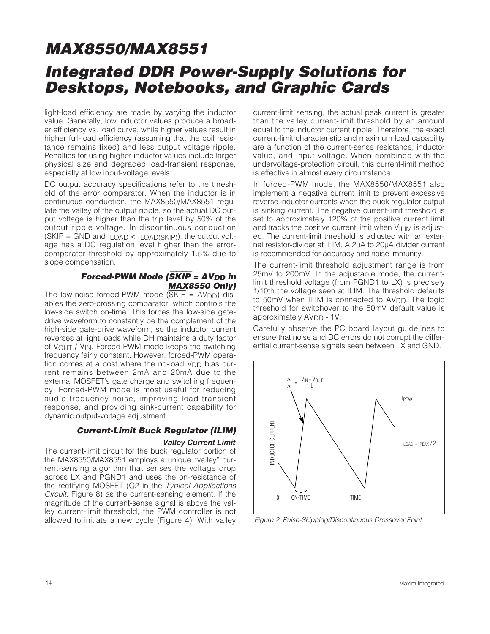# **MAX8550/MAX8551 Integrated DDR Power-Supply Solutions for Desktops, Notebooks, and Graphic Cards**

light-load efficiency are made by varying the inductor value. Generally, low inductor values produce a broader efficiency vs. load curve, while higher values result in higher full-load efficiency (assuming that the coil resistance remains fixed) and less output voltage ripple. Penalties for using higher inductor values include larger physical size and degraded load-transient response, especially at low input-voltage levels.

DC output accuracy specifications refer to the threshold of the error comparator. When the inductor is in continuous conduction, the MAX8550/MAX8551 regulate the valley of the output ripple, so the actual DC output voltage is higher than the trip level by 50% of the output ripple voltage. In discontinuous conduction  $(SKIP = GND$  and  $I_{LOAD} < I_{LOAD}(\overline{SKIP})$ , the output voltage has a DC regulation level higher than the errorcomparator threshold by approximately 1.5% due to slope compensation.

#### **Forced-PWM Mode (SKIP = AV<sub>DD</sub> in MAX8550 Only)**

The low-noise forced-PWM mode  $(SKIP = AVDD)$  disables the zero-crossing comparator, which controls the low-side switch on-time. This forces the low-side gatedrive waveform to constantly be the complement of the high-side gate-drive waveform, so the inductor current reverses at light loads while DH maintains a duty factor of VOUT / VIN. Forced-PWM mode keeps the switching frequency fairly constant. However, forced-PWM operation comes at a cost where the no-load V<sub>DD</sub> bias current remains between 2mA and 20mA due to the external MOSFET's gate charge and switching frequency. Forced-PWM mode is most useful for reducing audio frequency noise, improving load-transient response, and providing sink-current capability for dynamic output-voltage adjustment.

#### **Current-Limit Buck Regulator (ILIM) Valley Current Limit**

The current-limit circuit for the buck regulator portion of the MAX8550/MAX8551 employs a unique "valley" current-sensing algorithm that senses the voltage drop across LX and PGND1 and uses the on-resistance of the rectifying MOSFET (Q2 in the Typical Applications Circuit. Figure 8) as the current-sensing element. If the magnitude of the current-sense signal is above the valley current-limit threshold, the PWM controller is not allowed to initiate a new cycle (Figure 4). With valley current-limit sensing, the actual peak current is greater than the valley current-limit threshold by an amount equal to the inductor current ripple. Therefore, the exact current-limit characteristic and maximum load capability are a function of the current-sense resistance, inductor value, and input voltage. When combined with the undervoltage-protection circuit, this current-limit method is effective in almost every circumstance.

In forced-PWM mode, the MAX8550/MAX8551 also implement a negative current limit to prevent excessive reverse inductor currents when the buck regulator output is sinking current. The negative current-limit threshold is set to approximately 120% of the positive current limit and tracks the positive current limit when  $V_{\text{I-LIM}}$  is adjusted. The current-limit threshold is adjusted with an external resistor-divider at ILIM. A 2µA to 20µA divider current is recommended for accuracy and noise immunity.

The current-limit threshold adjustment range is from 25mV to 200mV. In the adjustable mode, the currentlimit threshold voltage (from PGND1 to LX) is precisely 1/10th the voltage seen at ILIM. The threshold defaults to 50mV when ILIM is connected to AV<sub>DD</sub>. The logic threshold for switchover to the 50mV default value is approximately AV<sub>DD</sub> - 1V.

Carefully observe the PC board layout guidelines to ensure that noise and DC errors do not corrupt the differential current-sense signals seen between LX and GND.

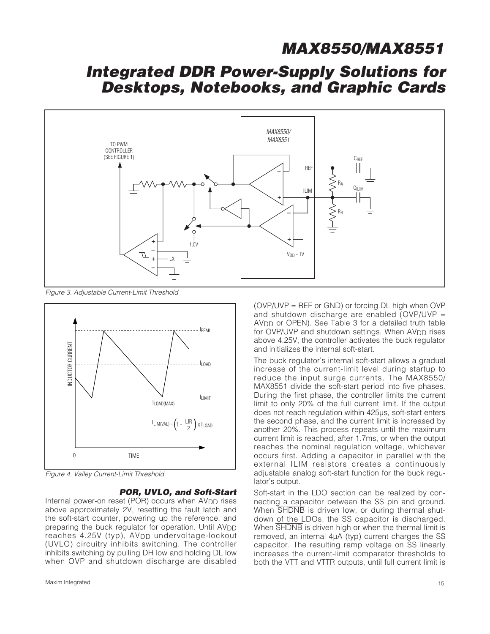# **Integrated DDR Power-Supply Solutions for Desktops, Notebooks, and Graphic Cards**



Figure 3. Adjustable Current-Limit Threshold



#### **POR, UVLO, and Soft-Start**

Internal power-on reset (POR) occurs when AV<sub>DD</sub> rises above approximately 2V, resetting the fault latch and the soft-start counter, powering up the reference, and preparing the buck regulator for operation. Until AV<sub>DD</sub> reaches 4.25V (typ), AV<sub>DD</sub> undervoltage-lockout (UVLO) circuitry inhibits switching. The controller inhibits switching by pulling DH low and holding DL low when OVP and shutdown discharge are disabled (OVP/UVP = REF or GND) or forcing DL high when OVP and shutdown discharge are enabled (OVP/UVP = AV<sub>DD</sub> or OPEN). See Table 3 for a detailed truth table for OVP/UVP and shutdown settings. When AV<sub>DD</sub> rises above 4.25V, the controller activates the buck regulator and initializes the internal soft-start.

The buck regulator's internal soft-start allows a gradual increase of the current-limit level during startup to reduce the input surge currents. The MAX8550/ MAX8551 divide the soft-start period into five phases. During the first phase, the controller limits the current limit to only 20% of the full current limit. If the output does not reach regulation within 425µs, soft-start enters the second phase, and the current limit is increased by another 20%. This process repeats until the maximum current limit is reached, after 1.7ms, or when the output reaches the nominal regulation voltage, whichever occurs first. Adding a capacitor in parallel with the external ILIM resistors creates a continuously adjustable analog soft-start function for the buck regulator's output.

Soft-start in the LDO section can be realized by connecting a capacitor between the SS pin and ground. When  $\overline{\text{SHDNB}}$  is driven low, or during thermal shutdown of the LDOs, the SS capacitor is discharged. When SHDNB is driven high or when the thermal limit is removed, an internal 4µA (typ) current charges the SS capacitor. The resulting ramp voltage on SS linearly increases the current-limit comparator thresholds to both the VTT and VTTR outputs, until full current limit is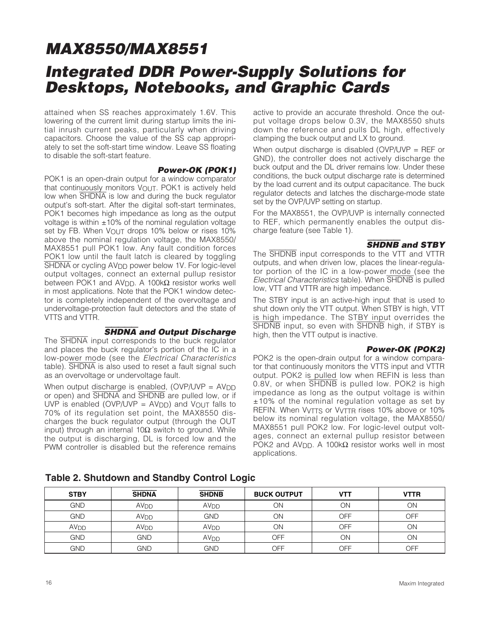# **MAX8550/MAX8551 Integrated DDR Power-Supply Solutions for Desktops, Notebooks, and Graphic Cards**

attained when SS reaches approximately 1.6V. This lowering of the current limit during startup limits the initial inrush current peaks, particularly when driving capacitors. Choose the value of the SS cap appropriately to set the soft-start time window. Leave SS floating to disable the soft-start feature.

#### **Power-OK (POK1)**

POK1 is an open-drain output for a window comparator that continuously monitors VOUT. POK1 is actively held low when SHDNA is low and during the buck regulator output's soft-start. After the digital soft-start terminates, POK1 becomes high impedance as long as the output voltage is within  $\pm 10\%$  of the nominal regulation voltage set by FB. When VOUT drops 10% below or rises 10% above the nominal regulation voltage, the MAX8550/ MAX8551 pull POK1 low. Any fault condition forces POK1 low until the fault latch is cleared by toggling SHDNA or cycling AV<sub>DD</sub> power below 1V. For logic-level output voltages, connect an external pullup resistor between POK1 and AV<sub>DD</sub>. A 100kΩ resistor works well in most applications. Note that the POK1 window detector is completely independent of the overvoltage and undervoltage-protection fault detectors and the state of VTTS and VTTR.

#### SHDNA **and Output Discharge**

The SHDNA input corresponds to the buck regulator and places the buck regulator's portion of the IC in a low-power mode (see the Electrical Characteristics table). SHDNA is also used to reset a fault signal such as an overvoltage or undervoltage fault.

When output discharge is enabled,  $(OVP/UVP = AVDD$ or open) and SHDNA and SHDNB are pulled low, or if UVP is enabled (OVP/UVP =  $AVDD$ ) and  $V_{OUT}$  falls to 70% of its regulation set point, the MAX8550 discharges the buck regulator output (through the OUT input) through an internal 10Ω switch to ground. While the output is discharging, DL is forced low and the PWM controller is disabled but the reference remains active to provide an accurate threshold. Once the output voltage drops below 0.3V, the MAX8550 shuts down the reference and pulls DL high, effectively clamping the buck output and LX to ground.

When output discharge is disabled (OVP/UVP = REF or GND), the controller does not actively discharge the buck output and the DL driver remains low. Under these conditions, the buck output discharge rate is determined by the load current and its output capacitance. The buck regulator detects and latches the discharge-mode state set by the OVP/UVP setting on startup.

For the MAX8551, the OVP/UVP is internally connected to REF, which permanently enables the output discharge feature (see Table 1).

#### SHDNB **and STBY**

The SHDNB input corresponds to the VTT and VTTR outputs, and when driven low, places the linear-regulator portion of the IC in a low-power mode (see the Electrical Characteristics table). When SHDNB is pulled low, VTT and VTTR are high impedance.

The STBY input is an active-high input that is used to shut down only the VTT output. When STBY is high, VTT is high impedance. The STBY input overrides the SHDNB input, so even with SHDNB high, if STBY is high, then the VTT output is inactive.

#### **Power-OK (POK2)**

POK2 is the open-drain output for a window comparator that continuously monitors the VTTS input and VTTR output. POK2 is pulled low when REFIN is less than 0.8V, or when SHDNB is pulled low. POK2 is high impedance as long as the output voltage is within ±10% of the nominal regulation voltage as set by REFIN. When V<sub>VTTS</sub> or V<sub>VTTR</sub> rises 10% above or 10% below its nominal regulation voltage, the MAX8550/ MAX8551 pull POK2 low. For logic-level output voltages, connect an external pullup resistor between POK2 and AV<sub>DD</sub>. A 100kΩ resistor works well in most applications.

| <b>STBY</b>      | <b>SHDNA</b>     | <b>SHDNB</b>     | <b>BUCK OUTPUT</b> | VTT | <b>VTTR</b> |
|------------------|------------------|------------------|--------------------|-----|-------------|
| <b>GND</b>       | AV <sub>DD</sub> | AV <sub>DD</sub> | ΟN                 | ON  | ΟN          |
| <b>GND</b>       | AV <sub>DD</sub> | <b>GND</b>       | ΟN                 | OFF | OFF         |
| AV <sub>DD</sub> | AV <sub>DD</sub> | AV <sub>DD</sub> | ΟN                 | OFF | ΟN          |
| <b>GND</b>       | <b>GND</b>       | AV <sub>DD</sub> | OFF                | ΟN  | ΟN          |
| <b>GND</b>       | <b>GND</b>       | <b>GND</b>       | OFF                | OFF | OFF         |

#### **Table 2. Shutdown and Standby Control Logic**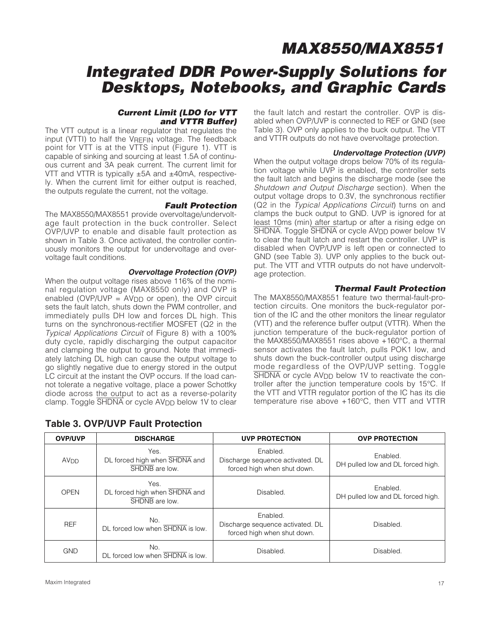# **Integrated DDR Power-Supply Solutions for Desktops, Notebooks, and Graphic Cards**

### **Current Limit (LDO for VTT and VTTR Buffer)**

The VTT output is a linear regulator that regulates the input (VTTI) to half the VREFIN voltage. The feedback point for VTT is at the VTTS input (Figure 1). VTT is capable of sinking and sourcing at least 1.5A of continuous current and 3A peak current. The current limit for VTT and VTTR is typically ±5A and ±40mA, respectively. When the current limit for either output is reached, the outputs regulate the current, not the voltage.

### **Fault Protection**

The MAX8550/MAX8551 provide overvoltage/undervoltage fault protection in the buck controller. Select OVP/UVP to enable and disable fault protection as shown in Table 3. Once activated, the controller continuously monitors the output for undervoltage and overvoltage fault conditions.

### **Overvoltage Protection (OVP)**

When the output voltage rises above 116% of the nominal regulation voltage (MAX8550 only) and OVP is enabled (OVP/UVP =  $AV_{DD}$  or open), the OVP circuit sets the fault latch, shuts down the PWM controller, and immediately pulls DH low and forces DL high. This turns on the synchronous-rectifier MOSFET (Q2 in the Typical Applications Circuit of Figure 8) with a 100% duty cycle, rapidly discharging the output capacitor and clamping the output to ground. Note that immediately latching DL high can cause the output voltage to go slightly negative due to energy stored in the output LC circuit at the instant the OVP occurs. If the load cannot tolerate a negative voltage, place a power Schottky diode across the output to act as a reverse-polarity clamp. Toggle  $\overline{\text{SHDNA}}$  or cycle  $\text{AV}_{\text{DD}}$  below 1V to clear

the fault latch and restart the controller. OVP is disabled when OVP/UVP is connected to REF or GND (see Table 3). OVP only applies to the buck output. The VTT and VTTR outputs do not have overvoltage protection.

#### **Undervoltage Protection (UVP)**

When the output voltage drops below 70% of its regulation voltage while UVP is enabled, the controller sets the fault latch and begins the discharge mode (see the Shutdown and Output Discharge section). When the output voltage drops to 0.3V, the synchronous rectifier (Q2 in the Typical Applications Circuit) turns on and clamps the buck output to GND. UVP is ignored for at least 10ms (min) after startup or after a rising edge on SHDNA. Toggle SHDNA or cycle AV<sub>DD</sub> power below 1V to clear the fault latch and restart the controller. UVP is disabled when OVP/UVP is left open or connected to GND (see Table 3). UVP only applies to the buck output. The VTT and VTTR outputs do not have undervoltage protection.

#### **Thermal Fault Protection**

The MAX8550/MAX8551 feature two thermal-fault-protection circuits. One monitors the buck-regulator portion of the IC and the other monitors the linear regulator (VTT) and the reference buffer output (VTTR). When the junction temperature of the buck-regulator portion of the MAX8550/MAX8551 rises above +160°C, a thermal sensor activates the fault latch, pulls POK1 low, and shuts down the buck-controller output using discharge mode regardless of the OVP/UVP setting. Toggle SHDNA or cycle AV<sub>DD</sub> below 1V to reactivate the controller after the junction temperature cools by 15°C. If the VTT and VTTR regulator portion of the IC has its die temperature rise above +160°C, then VTT and VTTR

| <b>OVP/UVP</b>         | <b>DISCHARGE</b>                                        | <b>UVP PROTECTION</b>                                                       | <b>OVP PROTECTION</b>                         |  |
|------------------------|---------------------------------------------------------|-----------------------------------------------------------------------------|-----------------------------------------------|--|
| <b>AV<sub>DD</sub></b> | Yes.<br>DL forced high when SHDNA and<br>SHDNB are low. | Enabled.<br>Discharge sequence activated. DL<br>forced high when shut down. | Enabled.<br>DH pulled low and DL forced high. |  |
| <b>OPEN</b>            | Yes.<br>DL forced high when SHDNA and<br>SHDNB are low. | Disabled.                                                                   | Enabled.<br>DH pulled low and DL forced high. |  |
| <b>REF</b>             | No.<br>DL forced low when SHDNA is low.                 | Enabled.<br>Discharge sequence activated. DL<br>forced high when shut down. | Disabled.                                     |  |
| <b>GND</b>             | No.<br>DL forced low when SHDNA is low.                 | Disabled.                                                                   | Disabled.                                     |  |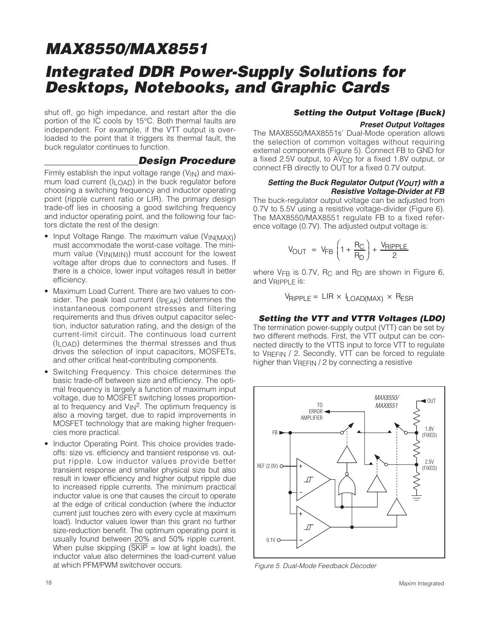## **Integrated DDR Power-Supply Solutions for Desktops, Notebooks, and Graphic Cards**

shut off, go high impedance, and restart after the die portion of the IC cools by 15°C. Both thermal faults are independent. For example, if the VTT output is overloaded to the point that it triggers its thermal fault, the buck regulator continues to function.

#### **Design Procedure**

Firmly establish the input voltage range  $(V_{IN})$  and maximum load current  $(I<sub>LOAD</sub>)$  in the buck regulator before choosing a switching frequency and inductor operating point (ripple current ratio or LIR). The primary design trade-off lies in choosing a good switching frequency and inductor operating point, and the following four factors dictate the rest of the design:

- Input Voltage Range. The maximum value (VIN(MAX)) must accommodate the worst-case voltage. The minimum value (VIN(MIN)) must account for the lowest voltage after drops due to connectors and fuses. If there is a choice, lower input voltages result in better efficiency.
- Maximum Load Current. There are two values to consider. The peak load current (IPEAK) determines the instantaneous component stresses and filtering requirements and thus drives output capacitor selection, inductor saturation rating, and the design of the current-limit circuit. The continuous load current (ILOAD) determines the thermal stresses and thus drives the selection of input capacitors, MOSFETs, and other critical heat-contributing components.
- Switching Frequency. This choice determines the basic trade-off between size and efficiency. The optimal frequency is largely a function of maximum input voltage, due to MOSFET switching losses proportional to frequency and  $V_{\text{IN}}^2$ . The optimum frequency is also a moving target, due to rapid improvements in MOSFET technology that are making higher frequencies more practical.
- Inductor Operating Point. This choice provides tradeoffs: size vs. efficiency and transient response vs. output ripple. Low inductor values provide better transient response and smaller physical size but also result in lower efficiency and higher output ripple due to increased ripple currents. The minimum practical inductor value is one that causes the circuit to operate at the edge of critical conduction (where the inductor current just touches zero with every cycle at maximum load). Inductor values lower than this grant no further size-reduction benefit. The optimum operating point is usually found between 20% and 50% ripple current. When pulse skipping  $(SKIP = low$  at light loads), the inductor value also determines the load-current value at which PFM/PWM switchover occurs.

#### **Setting the Output Voltage (Buck)**

#### **Preset Output Voltages**

The MAX8550/MAX8551s' Dual-Mode operation allows the selection of common voltages without requiring external components (Figure 5). Connect FB to GND for a fixed 2.5V output, to AV<sub>DD</sub> for a fixed 1.8V output, or connect FB directly to OUT for a fixed 0.7V output.

#### **Setting the Buck Regulator Output (VOUT) with a Resistive Voltage-Divider at FB**

The buck-regulator output voltage can be adjusted from 0.7V to 5.5V using a resistive voltage-divider (Figure 6). The MAX8550/MAX8551 regulate FB to a fixed reference voltage (0.7V). The adjusted output voltage is:

$$
V_{\text{OUT}} = V_{\text{FB}} \left( 1 + \frac{R_{\text{C}}}{R_{\text{D}}} \right) + \frac{V_{\text{RIPPLE}}}{2}
$$

where  $V_{FB}$  is 0.7V, R<sub>C</sub> and R<sub>D</sub> are shown in Figure 6, and VRIPPLE is:

$$
V_{RIPPLE} = LIR \times I_{LOAD(MAX)} \times R_{ESR}
$$

#### **Setting the VTT and VTTR Voltages (LDO)**

The termination power-supply output (VTT) can be set by two different methods. First, the VTT output can be connected directly to the VTTS input to force VTT to regulate to VREFIN / 2. Secondly, VTT can be forced to regulate higher than VREFIN / 2 by connecting a resistive



Figure 5. Dual-Mode Feedback Decoder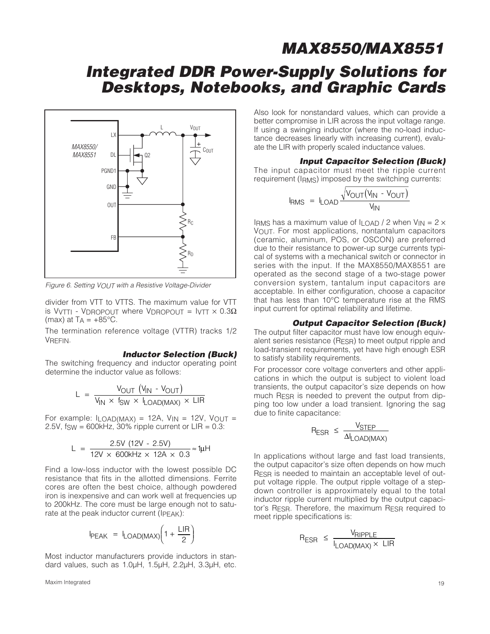## **Integrated DDR Power-Supply Solutions for Desktops, Notebooks, and Graphic Cards**



Figure 6. Setting VOUT with a Resistive Voltage-Divider

divider from VTT to VTTS. The maximum value for VTT is VyTTI - VDROPOUT where VDROPOUT =  $IVTT \times 0.3\Omega$ (max) at  $T_A = +85^{\circ}C$ .

The termination reference voltage (VTTR) tracks 1/2 VREFIN.

#### **Inductor Selection (Buck)**

The switching frequency and inductor operating point determine the inductor value as follows:

$$
L = \frac{V_{OUT} (V_{IN} - V_{OUT})}{V_{IN} \times f_{SW} \times I_{LOAD(MAX)} \times LIR}
$$

For example:  $I_{LOAD(MAX)} = 12A$ ,  $V_{IN} = 12V$ ,  $V_{OUT} =$ 2.5V,  $f_{SW} = 600kHz$ , 30% ripple current or  $LIR = 0.3$ :

$$
L = \frac{2.5V (12V - 2.5V)}{12V \times 600kHz \times 12A \times 0.3} \approx 1 \mu H
$$

Find a low-loss inductor with the lowest possible DC resistance that fits in the allotted dimensions. Ferrite cores are often the best choice, although powdered iron is inexpensive and can work well at frequencies up to 200kHz. The core must be large enough not to saturate at the peak inductor current (IPEAK):

$$
I_{PEAK} = I_{LOAD(MAX)} \left( 1 + \frac{LIR}{2} \right)
$$

Most inductor manufacturers provide inductors in standard values, such as 1.0µH, 1.5µH, 2.2µH, 3.3µH, etc.

Maxim Integrated 19

Also look for nonstandard values, which can provide a better compromise in LIR across the input voltage range. If using a swinging inductor (where the no-load inductance decreases linearly with increasing current), evaluate the LIR with properly scaled inductance values.

#### **Input Capacitor Selection (Buck)**

The input capacitor must meet the ripple current requirement (IRMS) imposed by the switching currents:

$$
I_{RMS} = I_{LOAD} \frac{\sqrt{V_{OUT}(V_{IN} - V_{OUT})}}{V_{IN}}
$$

IRMS has a maximum value of  $I_{\text{LOAD}}$  / 2 when  $V_{\text{IN}} = 2 \times$ VOUT. For most applications, nontantalum capacitors (ceramic, aluminum, POS, or OSCON) are preferred due to their resistance to power-up surge currents typical of systems with a mechanical switch or connector in series with the input. If the MAX8550/MAX8551 are operated as the second stage of a two-stage power conversion system, tantalum input capacitors are acceptable. In either configuration, choose a capacitor that has less than 10°C temperature rise at the RMS input current for optimal reliability and lifetime.

#### **Output Capacitor Selection (Buck)**

The output filter capacitor must have low enough equivalent series resistance (RESR) to meet output ripple and load-transient requirements, yet have high enough ESR to satisfy stability requirements.

For processor core voltage converters and other applications in which the output is subject to violent load transients, the output capacitor's size depends on how much RESR is needed to prevent the output from dipping too low under a load transient. Ignoring the sag due to finite capacitance:

$$
R_{ESR} \leq \frac{V_{STEP}}{\Delta I_{LOAD(MAX)}}
$$

In applications without large and fast load transients, the output capacitor's size often depends on how much RESR is needed to maintain an acceptable level of output voltage ripple. The output ripple voltage of a stepdown controller is approximately equal to the total inductor ripple current multiplied by the output capacitor's RESR. Therefore, the maximum RESR required to meet ripple specifications is:

$$
R_{ESR} \leq \frac{V_{RIPPLE}}{I_{LOAD(MAX)} \times LIR}
$$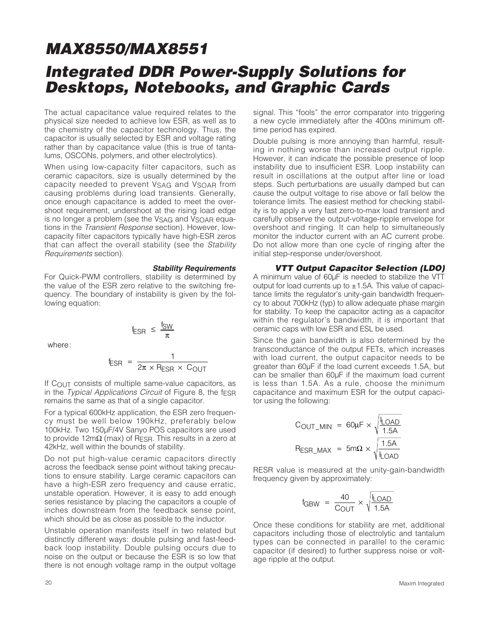# **MAX8550/MAX8551 Integrated DDR Power-Supply Solutions for Desktops, Notebooks, and Graphic Cards**

The actual capacitance value required relates to the physical size needed to achieve low ESR, as well as to the chemistry of the capacitor technology. Thus, the capacitor is usually selected by ESR and voltage rating rather than by capacitance value (this is true of tantalums, OSCONs, polymers, and other electrolytics).

When using low-capacity filter capacitors, such as ceramic capacitors, size is usually determined by the capacity needed to prevent VSAG and VSOAR from causing problems during load transients. Generally, once enough capacitance is added to meet the overshoot requirement, undershoot at the rising load edge is no longer a problem (see the VSAG and VSOAR equations in the Transient Response section). However, lowcapacity filter capacitors typically have high-ESR zeros that can affect the overall stability (see the Stability Requirements section).

#### **Stability Requirements**

For Quick-PWM controllers, stability is determined by the value of the ESR zero relative to the switching frequency. The boundary of instability is given by the following equation:

: where

$$
f_{ESR} = \frac{1}{2\pi \times R_{ESR} \times C_{OUT}}
$$

 $f_{ESR} \leq \frac{f_{SW}}{\pi}$ 

If COUT consists of multiple same-value capacitors, as in the Typical Applications Circuit of Figure 8, the fESR remains the same as that of a single capacitor.

For a typical 600kHz application, the ESR zero frequency must be well below 190kHz, preferably below 100kHz. Two 150µF/4V Sanyo POS capacitors are used to provide 12m $Ω$  (max) of R<sub>ESR</sub>. This results in a zero at 42kHz, well within the bounds of stability.

Do not put high-value ceramic capacitors directly across the feedback sense point without taking precautions to ensure stability. Large ceramic capacitors can have a high-ESR zero frequency and cause erratic, unstable operation. However, it is easy to add enough series resistance by placing the capacitors a couple of inches downstream from the feedback sense point, which should be as close as possible to the inductor.

Unstable operation manifests itself in two related but distinctly different ways: double pulsing and fast-feedback loop instability. Double pulsing occurs due to noise on the output or because the ESR is so low that there is not enough voltage ramp in the output voltage signal. This "fools" the error comparator into triggering a new cycle immediately after the 400ns minimum offtime period has expired.

Double pulsing is more annoying than harmful, resulting in nothing worse than increased output ripple. However, it can indicate the possible presence of loop instability due to insufficient ESR. Loop instability can result in oscillations at the output after line or load steps. Such perturbations are usually damped but can cause the output voltage to rise above or fall below the tolerance limits. The easiest method for checking stability is to apply a very fast zero-to-max load transient and carefully observe the output-voltage-ripple envelope for overshoot and ringing. It can help to simultaneously monitor the inductor current with an AC current probe. Do not allow more than one cycle of ringing after the initial step-response under/overshoot.

#### **VTT Output Capacitor Selection (LDO)**

A minimum value of 60µF is needed to stabilize the VTT output for load currents up to  $\pm$ 1.5A. This value of capacitance limits the regulator's unity-gain bandwidth frequency to about 700kHz (typ) to allow adequate phase margin for stability. To keep the capacitor acting as a capacitor within the regulator's bandwidth, it is important that ceramic caps with low ESR and ESL be used.

Since the gain bandwidth is also determined by the transconductance of the output FETs, which increases with load current, the output capacitor needs to be greater than 60µF if the load current exceeds 1.5A, but can be smaller than 60µF if the maximum load current is less than 1.5A. As a rule, choose the minimum capacitance and maximum ESR for the output capacitor using the following:

$$
C_{OUT\_MIN} = 60 \mu F \times \sqrt{\frac{I_{LOAD}}{1.5A}}
$$

$$
R_{ESR\_MAX} = 5 m\Omega \times \sqrt{\frac{1.5A}{I_{LOAD}}}
$$

RESR value is measured at the unity-gain-bandwidth frequency given by approximately:

$$
f_{GBW} = \frac{40}{C_{OUT}} \times \sqrt{\frac{I_{LOAD}}{1.5A}}
$$

Once these conditions for stability are met, additional capacitors including those of electrolytic and tantalum types can be connected in parallel to the ceramic capacitor (if desired) to further suppress noise or voltage ripple at the output.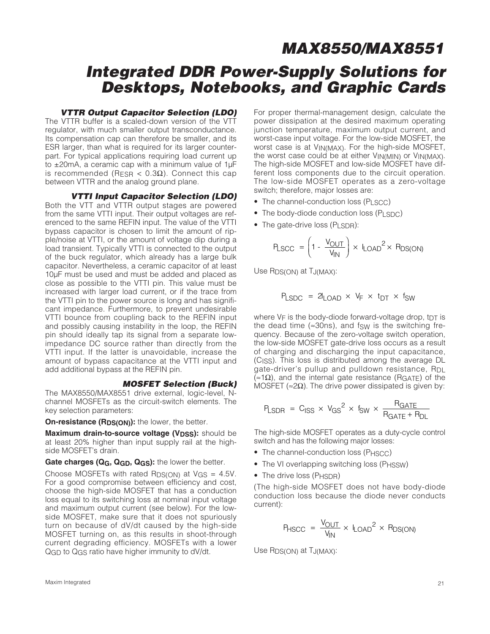## **Integrated DDR Power-Supply Solutions for Desktops, Notebooks, and Graphic Cards**

#### **VTTR Output Capacitor Selection (LDO)**

The VTTR buffer is a scaled-down version of the VTT regulator, with much smaller output transconductance. Its compensation cap can therefore be smaller, and its ESR larger, than what is required for its larger counterpart. For typical applications requiring load current up to ±20mA, a ceramic cap with a minimum value of 1µF is recommended (RESR  $\langle$  0.3Ω). Connect this cap between VTTR and the analog ground plane.

#### **VTTI Input Capacitor Selection (LDO)**

Both the VTT and VTTR output stages are powered from the same VTTI input. Their output voltages are referenced to the same REFIN input. The value of the VTTI bypass capacitor is chosen to limit the amount of ripple/noise at VTTI, or the amount of voltage dip during a load transient. Typically VTTI is connected to the output of the buck regulator, which already has a large bulk capacitor. Nevertheless, a ceramic capacitor of at least 10µF must be used and must be added and placed as close as possible to the VTTI pin. This value must be increased with larger load current, or if the trace from the VTTI pin to the power source is long and has significant impedance. Furthermore, to prevent undesirable VTTI bounce from coupling back to the REFIN input and possibly causing instability in the loop, the REFIN pin should ideally tap its signal from a separate lowimpedance DC source rather than directly from the VTTI input. If the latter is unavoidable, increase the amount of bypass capacitance at the VTTI input and add additional bypass at the REFIN pin.

#### **MOSFET Selection (Buck)**

The MAX8550/MAX8551 drive external, logic-level, Nchannel MOSFETs as the circuit-switch elements. The key selection parameters:

**On-resistance (RDS(ON)):** the lower, the better.

**Maximum drain-to-source voltage (V<sub>DSS</sub>):** should be at least 20% higher than input supply rail at the highside MOSFET's drain.

#### Gate charges (Q<sub>G</sub>, Q<sub>GD</sub>, Q<sub>GS</sub>): the lower the better.

Choose MOSFETs with rated  $R_{DS(ON)}$  at  $V_{GS} = 4.5V$ . For a good compromise between efficiency and cost, choose the high-side MOSFET that has a conduction loss equal to its switching loss at nominal input voltage and maximum output current (see below). For the lowside MOSFET, make sure that it does not spuriously turn on because of dV/dt caused by the high-side MOSFET turning on, as this results in shoot-through current degrading efficiency. MOSFETs with a lower QGD to QGS ratio have higher immunity to dV/dt.

For proper thermal-management design, calculate the power dissipation at the desired maximum operating junction temperature, maximum output current, and worst-case input voltage. For the low-side MOSFET, the worst case is at VIN(MAX). For the high-side MOSFET, the worst case could be at either  $V_{IN(MIN)}$  or  $V_{IN(MAX)}$ . The high-side MOSFET and low-side MOSFET have different loss components due to the circuit operation. The low-side MOSFET operates as a zero-voltage switch; therefore, major losses are:

- The channel-conduction loss  $(P<sub>L</sub>SCC)$
- The body-diode conduction loss (PLSDC)
- The gate-drive loss (PLSDR):

$$
P_{LSCC} = \left(1 - \frac{V_{OUT}}{V_{IN}}\right) \times I_{LOAD}^{2} \times P_{DS(ON)}
$$

Use RDS(ON) at TJ(MAX):

$$
P_{LSDC} = 2I_{LOAD} \times V_F \times t_{DT} \times t_{SW}
$$

where  $V_F$  is the body-diode forward-voltage drop, t $DT$  is the dead time  $(\approx 30 \text{ns})$ , and fsw is the switching frequency. Because of the zero-voltage switch operation, the low-side MOSFET gate-drive loss occurs as a result of charging and discharging the input capacitance, (CISS). This loss is distributed among the average DL gate-driver's pullup and pulldown resistance, R<sub>DL</sub>  $(≈1Ω)$ , and the internal gate resistance (R<sub>GATE</sub>) of the MOSFET ( $\approx$ 2Ω). The drive power dissipated is given by:

$$
P_{LSDR} = C_{ISS} \times V_{GS}^2 \times f_{SW} \times \frac{R_{GATE}}{R_{GATE} + R_{DL}}
$$

The high-side MOSFET operates as a duty-cycle control switch and has the following major losses:

- The channel-conduction loss (PHSCC)
- The VI overlapping switching loss (P<sub>HSSW</sub>)
- The drive loss (PHSDR)

(The high-side MOSFET does not have body-diode conduction loss because the diode never conducts current):

$$
P_{HSCC} = \frac{V_{OUT}}{V_{IN}} \times I_{LOAD}^{2} \times P_{DS(ON)}
$$

Use R<sub>DS(ON)</sub> at T<sub>J(MAX)</sub>:

Maxim Integrated 21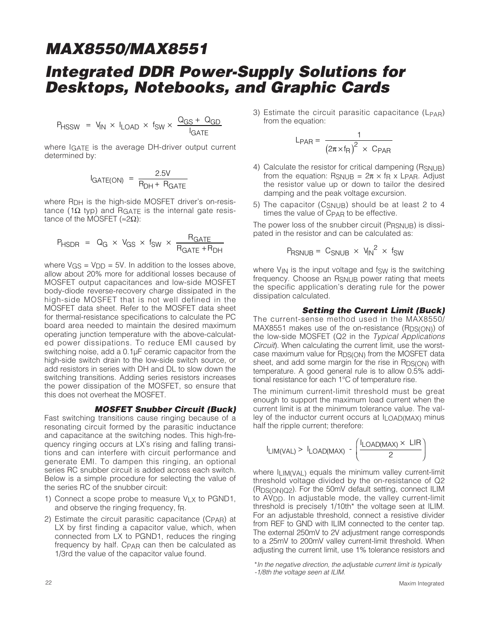## **Integrated DDR Power-Supply Solutions for Desktops, Notebooks, and Graphic Cards**

$$
P_{\text{HSSW}} = V_{\text{IN}} \times I_{\text{LOAD}} \times f_{\text{SW}} \times \frac{Q_{\text{GS}} + Q_{\text{GD}}}{I_{\text{GATE}}}
$$

where IGATE is the average DH-driver output current determined by:

$$
I_{GATE(ON)} = \frac{2.5V}{R_{DH} + R_{GATE}}
$$

where R<sub>DH</sub> is the high-side MOSFET driver's on-resistance (1Ω typ) and R<sub>GATE</sub> is the internal gate resistance of the MOSFET ( $\approx$ 2Ω):

$$
P_{\text{HSDR}} = Q_{\text{G}} \times V_{\text{GS}} \times f_{\text{SW}} \times \frac{R_{\text{GATE}}}{R_{\text{GATE}} + R_{\text{DH}}}
$$

where  $V$ <sub>GS</sub> =  $V$ <sub>DD</sub> = 5V. In addition to the losses above, allow about 20% more for additional losses because of MOSFET output capacitances and low-side MOSFET body-diode reverse-recovery charge dissipated in the high-side MOSFET that is not well defined in the MOSFET data sheet. Refer to the MOSFET data sheet for thermal-resistance specifications to calculate the PC board area needed to maintain the desired maximum operating junction temperature with the above-calculated power dissipations. To reduce EMI caused by switching noise, add a 0.1µF ceramic capacitor from the high-side switch drain to the low-side switch source, or add resistors in series with DH and DL to slow down the switching transitions. Adding series resistors increases the power dissipation of the MOSFET, so ensure that this does not overheat the MOSFET.

#### **MOSFET Snubber Circuit (Buck)**

Fast switching transitions cause ringing because of a resonating circuit formed by the parasitic inductance and capacitance at the switching nodes. This high-frequency ringing occurs at LX's rising and falling transitions and can interfere with circuit performance and generate EMI. To dampen this ringing, an optional series RC snubber circuit is added across each switch. Below is a simple procedure for selecting the value of the series RC of the snubber circuit:

- 1) Connect a scope probe to measure  $V_1 \times$  to PGND1, and observe the ringing frequency, fR.
- 2) Estimate the circuit parasitic capacitance (CPAR) at LX by first finding a capacitor value, which, when connected from LX to PGND1, reduces the ringing frequency by half. C<sub>PAR</sub> can then be calculated as 1/3rd the value of the capacitor value found.

3) Estimate the circuit parasitic capacitance  $(L_{\text{PAR}})$ from the equation:

$$
L_{PAR} = \frac{1}{\left(2\pi \times f_R\right)^2 \times C_{PAR}}
$$

- 4) Calculate the resistor for critical dampening (RSNUB) from the equation:  $R_{SNUB} = 2\pi \times f_R \times L_{PAR}$ . Adjust the resistor value up or down to tailor the desired damping and the peak voltage excursion.
- 5) The capacitor (C<sub>SNUB</sub>) should be at least 2 to 4 times the value of CPAR to be effective.

The power loss of the snubber circuit (PRSNUB) is dissipated in the resistor and can be calculated as:

$$
P_{\text{RSNUB}} = C_{\text{SNUB}} \times V_{\text{IN}}^2 \times f_{\text{SW}}
$$

where  $V_{IN}$  is the input voltage and fsw is the switching frequency. Choose an R<sub>SNUB</sub> power rating that meets the specific application's derating rule for the power dissipation calculated.

#### **Setting the Current Limit (Buck)**

The current-sense method used in the MAX8550/  $MAX8551$  makes use of the on-resistance  $(RDS(ON))$  of the low-side MOSFET (Q2 in the Typical Applications Circuit). When calculating the current limit, use the worstcase maximum value for R<sub>DS(ON)</sub> from the MOSFET data sheet, and add some margin for the rise in  $RDS(ON)$  with temperature. A good general rule is to allow 0.5% additional resistance for each 1°C of temperature rise.

The minimum current-limit threshold must be great enough to support the maximum load current when the current limit is at the minimum tolerance value. The valley of the inductor current occurs at ILOAD(MAX) minus half the ripple current; therefore:

$$
I_{LIM(VAL)} > I_{LOAD(MAX)} - \left(\frac{I_{LOAD(MAX)} \times LIR}{2}\right)
$$

where ILIM(VAL) equals the minimum valley current-limit threshold voltage divided by the on-resistance of Q2 (RDS(ON)Q2). For the 50mV default setting, connect ILIM to AVDD. In adjustable mode, the valley current-limit threshold is precisely 1/10th\* the voltage seen at ILIM. For an adjustable threshold, connect a resistive divider from REF to GND with ILIM connected to the center tap. The external 250mV to 2V adjustment range corresponds to a 25mV to 200mV valley current-limit threshold. When adjusting the current limit, use 1% tolerance resistors and

<sup>\*</sup>In the negative direction, the adjustable current limit is typically -1/8th the voltage seen at ILIM.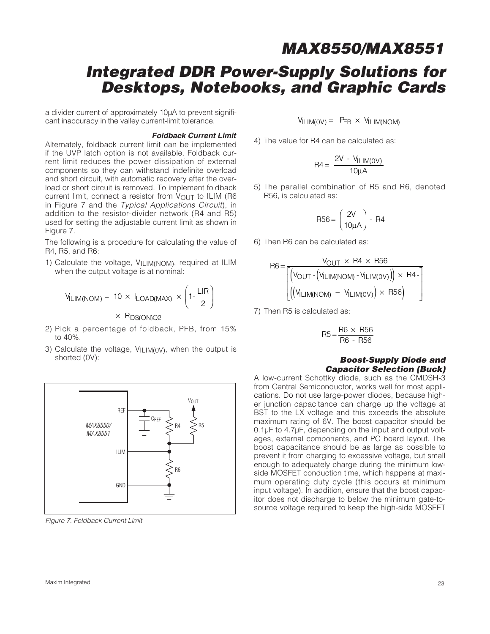## **Integrated DDR Power-Supply Solutions for Desktops, Notebooks, and Graphic Cards**

a divider current of approximately 10µA to prevent significant inaccuracy in the valley current-limit tolerance.

#### **Foldback Current Limit**

Alternately, foldback current limit can be implemented if the UVP latch option is not available. Foldback current limit reduces the power dissipation of external components so they can withstand indefinite overload and short circuit, with automatic recovery after the overload or short circuit is removed. To implement foldback current limit, connect a resistor from  $V_{\text{OUT}}$  to ILIM (R6) in Figure 7 and the Typical Applications Circuit), in addition to the resistor-divider network (R4 and R5) used for setting the adjustable current limit as shown in Figure 7.

The following is a procedure for calculating the value of R4, R5, and R6:

1) Calculate the voltage, VILIM(NOM), required at ILIM when the output voltage is at nominal:

$$
V_{\text{ILIM(NOM)}} = 10 \times I_{\text{LOAD(MAX)}} \times \left(1 - \frac{\text{LIR}}{2}\right)
$$

 $\times$  R<sub>DS(ON)Q2</sub>

- 2) Pick a percentage of foldback, PFB, from 15% to 40%.
- 3) Calculate the voltage, VILIM(0V), when the output is shorted (0V):



Figure 7. Foldback Current Limit

 $V_{\text{II IM(OV)}} = P_{\text{FR}} \times V_{\text{II IM(NOM)}}$ 

4) The value for R4 can be calculated as:

$$
R4 = \frac{2V - V_{ILIM(0V)}}{10\mu A}
$$

5) The parallel combination of R5 and R6, denoted R56, is calculated as:

$$
\mathsf{R56} = \left(\frac{2\mathsf{V}}{10\mu\mathsf{A}}\right) - \mathsf{R4}
$$

6) Then R6 can be calculated as:

$$
R6 = \frac{V_{OUT} \times R4 \times R56}{\left[\left(V_{OUT} - \left(V_{ILIM(NOM)} - V_{ILIM(OV)}\right)\right) \times R4 - \left(\left(V_{ILIM(NOM)} - V_{ILIM(OV)}\right) \times R56\right)\right]}
$$

7) Then R5 is calculated as:

$$
R5 = \frac{R6 \times R56}{R6 - R56}
$$

#### **Boost-Supply Diode and Capacitor Selection (Buck)**

A low-current Schottky diode, such as the CMDSH-3 from Central Semiconductor, works well for most applications. Do not use large-power diodes, because higher junction capacitance can charge up the voltage at BST to the LX voltage and this exceeds the absolute maximum rating of 6V. The boost capacitor should be 0.1µF to 4.7µF, depending on the input and output voltages, external components, and PC board layout. The boost capacitance should be as large as possible to prevent it from charging to excessive voltage, but small enough to adequately charge during the minimum lowside MOSFET conduction time, which happens at maximum operating duty cycle (this occurs at minimum input voltage). In addition, ensure that the boost capacitor does not discharge to below the minimum gate-tosource voltage required to keep the high-side MOSFET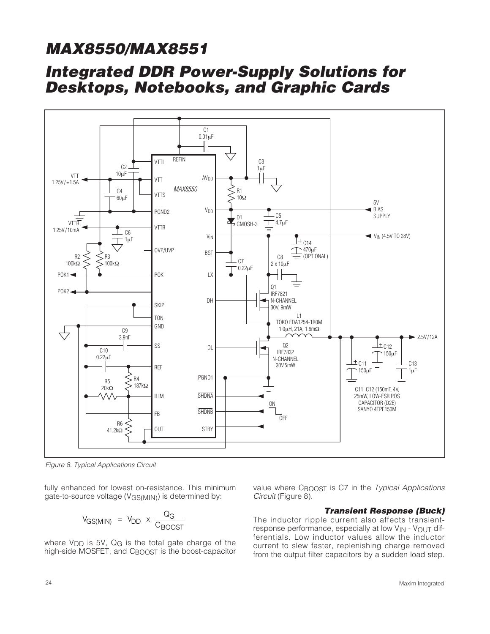## **Integrated DDR Power-Supply Solutions for Desktops, Notebooks, and Graphic Cards**



Figure 8. Typical Applications Circuit

fully enhanced for lowest on-resistance. This minimum gate-to-source voltage (V<sub>GS(MIN)</sub>) is determined by:

$$
V_{GS(MIN)} = V_{DD} \times \frac{Q_G}{C_{BOOST}}
$$

where  $V_{\text{DD}}$  is 5V,  $Q_{\text{G}}$  is the total gate charge of the high-side MOSFET, and CBOOST is the boost-capacitor value where CBOOST is C7 in the Typical Applications Circuit (Figure 8).

#### **Transient Response (Buck)**

The inductor ripple current also affects transientresponse performance, especially at low V<sub>IN</sub> - V<sub>OUT</sub> differentials. Low inductor values allow the inductor current to slew faster, replenishing charge removed from the output filter capacitors by a sudden load step.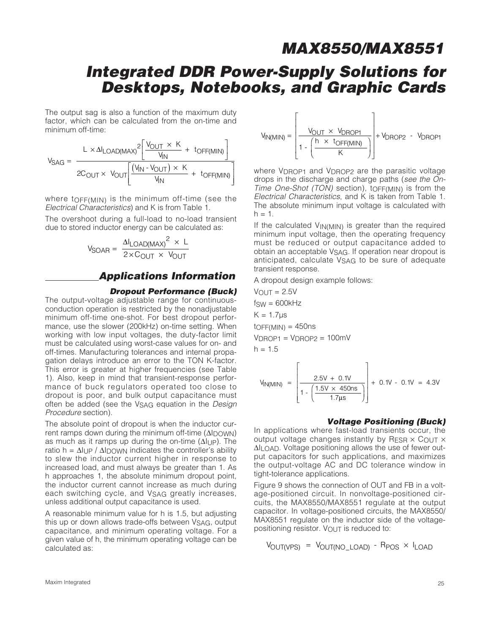## **Integrated DDR Power-Supply Solutions for Desktops, Notebooks, and Graphic Cards**

The output sag is also a function of the maximum duty factor, which can be calculated from the on-time and minimum off-time:

$$
V_{SAG} = \frac{L \times \Delta I_{LOAD(MAX)}^2 \left[ \frac{V_{OUT} \times K}{V_{IN}} + \text{ toff(MIN)} \right]}{2C_{OUT} \times V_{OUT} \left[ \frac{(V_{IN} - V_{OUT}) \times K}{V_{IN}} + \text{ toff(MIN)} \right]}
$$

where tOFF(MIN) is the minimum off-time (see the Electrical Characteristics) and K is from Table 1.

The overshoot during a full-load to no-load transient due to stored inductor energy can be calculated as:

$$
V_{SOAR} = \frac{\Delta I_{LOAD(MAX)}^{2} \times L}{2 \times C_{OUT} \times V_{OUT}}
$$

### **Applications Information**

#### **Dropout Performance (Buck)**

The output-voltage adjustable range for continuousconduction operation is restricted by the nonadjustable minimum off-time one-shot. For best dropout performance, use the slower (200kHz) on-time setting. When working with low input voltages, the duty-factor limit must be calculated using worst-case values for on- and off-times. Manufacturing tolerances and internal propagation delays introduce an error to the TON K-factor. This error is greater at higher frequencies (see Table 1). Also, keep in mind that transient-response performance of buck regulators operated too close to dropout is poor, and bulk output capacitance must often be added (see the V<sub>SAG</sub> equation in the Design Procedure section).

The absolute point of dropout is when the inductor current ramps down during the minimum off-time  $(ΔI<sub>D</sub>OWN)$ as much as it ramps up during the on-time  $(\Delta I_{UP})$ . The ratio h =  $\Delta I \cup P$  /  $\Delta I$  DOWN indicates the controller's ability to slew the inductor current higher in response to increased load, and must always be greater than 1. As h approaches 1, the absolute minimum dropout point, the inductor current cannot increase as much during each switching cycle, and VSAG greatly increases, unless additional output capacitance is used.

A reasonable minimum value for h is 1.5, but adjusting this up or down allows trade-offs between VSAG, output capacitance, and minimum operating voltage. For a given value of h, the minimum operating voltage can be calculated as:

$$
V_{IN(MIN)} = \left[\frac{V_{OUT} \times V_{DROP1}}{1 - \left(\frac{h \times t_{OFF(MIN)}}{K}\right)}\right] + V_{DROP2} - V_{DROP1}
$$

where V<sub>DROP1</sub> and V<sub>DROP2</sub> are the parasitic voltage drops in the discharge and charge paths (see the On-Time One-Shot (TON) section), tOFF(MIN) is from the Electrical Characteristics, and K is taken from Table 1. The absolute minimum input voltage is calculated with  $h = 1$ .

If the calculated V<sub>IN(MIN)</sub> is greater than the required minimum input voltage, then the operating frequency must be reduced or output capacitance added to obtain an acceptable V<sub>SAG</sub>. If operation near dropout is anticipated, calculate VSAG to be sure of adequate transient response.

A dropout design example follows:

 $V$ OUT = 2.5 $V$  $f_{SW} = 600kHz$  $K = 1.7$ us  $to$ FF(MIN) = 450ns  $V_{DROP1} = V_{DROP2} = 100mV$  $h = 1.5$  $\Gamma$  $\mathbf{I}$ 

$$
V_{IN(MIN)} = \left[ \frac{2.5V + 0.1V}{1 - \left( \frac{1.5V \times 450ns}{1.7 \mu s} \right)} \right] + 0.1V - 0.1V = 4.3V
$$

#### **Voltage Positioning (Buck)**

In applications where fast-load transients occur, the output voltage changes instantly by RESR  $\times$  COUT  $\times$  $ΔI<sub>I</sub>$   $OAD$ . Voltage positioning allows the use of fewer output capacitors for such applications, and maximizes the output-voltage AC and DC tolerance window in tight-tolerance applications.

Figure 9 shows the connection of OUT and FB in a voltage-positioned circuit. In nonvoltage-positioned circuits, the MAX8550/MAX8551 regulate at the output capacitor. In voltage-positioned circuits, the MAX8550/ MAX8551 regulate on the inductor side of the voltagepositioning resistor. VOUT is reduced to:

$$
V_{OUT(VPS)} = V_{OUT(NO\_LOAD)} - R_{POS} \times I_{LOAD}
$$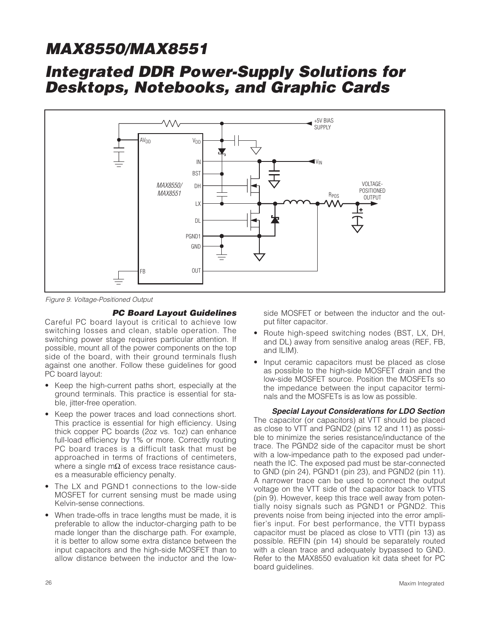## **Integrated DDR Power-Supply Solutions for Desktops, Notebooks, and Graphic Cards**



Figure 9. Voltage-Positioned Output

#### **PC Board Layout Guidelines**

Careful PC board layout is critical to achieve low switching losses and clean, stable operation. The switching power stage requires particular attention. If possible, mount all of the power components on the top side of the board, with their ground terminals flush against one another. Follow these guidelines for good PC board layout:

- Keep the high-current paths short, especially at the ground terminals. This practice is essential for stable, jitter-free operation.
- Keep the power traces and load connections short. This practice is essential for high efficiency. Using thick copper PC boards (2oz vs. 1oz) can enhance full-load efficiency by 1% or more. Correctly routing PC board traces is a difficult task that must be approached in terms of fractions of centimeters, where a single mΩ of excess trace resistance causes a measurable efficiency penalty.
- The LX and PGND1 connections to the low-side MOSFET for current sensing must be made using Kelvin-sense connections.
- When trade-offs in trace lengths must be made, it is preferable to allow the inductor-charging path to be made longer than the discharge path. For example, it is better to allow some extra distance between the input capacitors and the high-side MOSFET than to allow distance between the inductor and the low-

side MOSFET or between the inductor and the output filter capacitor.

- Route high-speed switching nodes (BST, LX, DH, and DL) away from sensitive analog areas (REF, FB, and ILIM).
- Input ceramic capacitors must be placed as close as possible to the high-side MOSFET drain and the low-side MOSFET source. Position the MOSFETs so the impedance between the input capacitor terminals and the MOSFETs is as low as possible.

#### **Special Layout Considerations for LDO Section** The capacitor (or capacitors) at VTT should be placed as close to VTT and PGND2 (pins 12 and 11) as possible to minimize the series resistance/inductance of the trace. The PGND2 side of the capacitor must be short with a low-impedance path to the exposed pad underneath the IC. The exposed pad must be star-connected to GND (pin 24), PGND1 (pin 23), and PGND2 (pin 11).

A narrower trace can be used to connect the output voltage on the VTT side of the capacitor back to VTTS (pin 9). However, keep this trace well away from potentially noisy signals such as PGND1 or PGND2. This prevents noise from being injected into the error amplifier's input. For best performance, the VTTI bypass capacitor must be placed as close to VTTI (pin 13) as possible. REFIN (pin 14) should be separately routed with a clean trace and adequately bypassed to GND. Refer to the MAX8550 evaluation kit data sheet for PC board guidelines.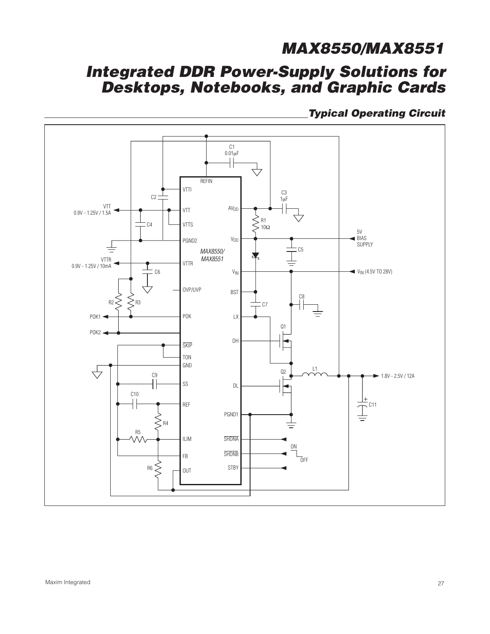## **Integrated DDR Power-Supply Solutions for Desktops, Notebooks, and Graphic Cards**

**Typical Operating Circuit**

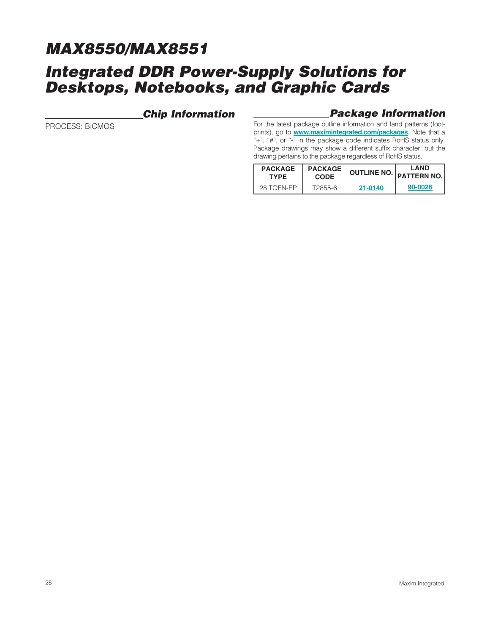## **Integrated DDR Power-Supply Solutions for Desktops, Notebooks, and Graphic Cards**

### **Chip Information**

PROCESS: BiCMOS

### **Package Information**

For the latest package outline information and land patterns (footprints), go to **www.maximintegrated.com/packages**. Note that a "+", "#", or "-" in the package code indicates RoHS status only. Package drawings may show a different suffix character, but the drawing pertains to the package regardless of RoHS status.

| <b>PACKAGE</b> | <b>PACKAGE</b> | OUTLINE NO. | <b>LAND</b>        |
|----------------|----------------|-------------|--------------------|
| <b>TYPE</b>    | <b>CODE</b>    |             | <b>PATTERN NO.</b> |
| 28 TOFN-EP     | T2855-6        | 21-0140     | 90-0026            |